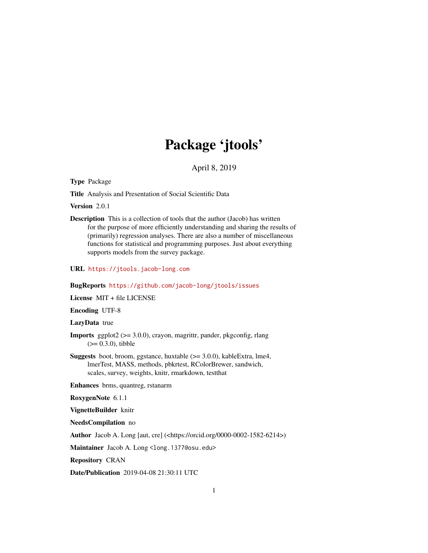# Package 'jtools'

April 8, 2019

<span id="page-0-0"></span>Type Package

Title Analysis and Presentation of Social Scientific Data

Version 2.0.1

Description This is a collection of tools that the author (Jacob) has written for the purpose of more efficiently understanding and sharing the results of (primarily) regression analyses. There are also a number of miscellaneous functions for statistical and programming purposes. Just about everything supports models from the survey package.

URL <https://jtools.jacob-long.com>

#### BugReports <https://github.com/jacob-long/jtools/issues>

License MIT + file LICENSE

Encoding UTF-8

## LazyData true

- **Imports** ggplot2 ( $>= 3.0.0$ ), crayon, magrittr, pander, pkgconfig, rlang  $(>= 0.3.0)$ , tibble
- Suggests boot, broom, ggstance, huxtable (>= 3.0.0), kableExtra, lme4, lmerTest, MASS, methods, pbkrtest, RColorBrewer, sandwich, scales, survey, weights, knitr, rmarkdown, testthat

Enhances brms, quantreg, rstanarm

RoxygenNote 6.1.1

VignetteBuilder knitr

NeedsCompilation no

Author Jacob A. Long [aut, cre] (<https://orcid.org/0000-0002-1582-6214>)

Maintainer Jacob A. Long <long.1377@osu.edu>

Repository CRAN

Date/Publication 2019-04-08 21:30:11 UTC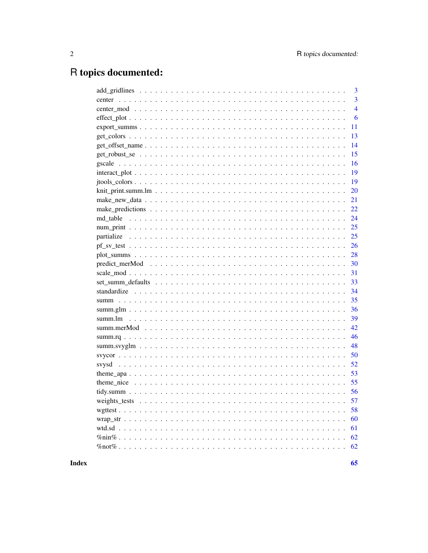# R topics documented:

|                 | 3              |
|-----------------|----------------|
|                 | $\overline{3}$ |
|                 | $\overline{4}$ |
|                 | 6              |
| $export\_summs$ | 11             |
|                 | 13             |
|                 | 14             |
|                 | 15             |
|                 | 16             |
|                 | 19             |
|                 | 19             |
|                 | 20             |
|                 | 21             |
|                 | 22             |
|                 | 24             |
|                 | 25             |
|                 | 25             |
|                 | 26             |
|                 | 28             |
|                 | 30             |
|                 | 31             |
|                 | 33             |
|                 | 34             |
|                 | 35             |
|                 | 36             |
|                 | 39             |
|                 | 42             |
|                 | 46             |
|                 | 48             |
|                 | 50             |
|                 | 52             |
|                 | 53             |
|                 | 55             |
|                 | 56             |
|                 |                |
|                 | 58             |
|                 | 60             |
|                 | 61             |
|                 | 62             |
|                 | 62             |
|                 |                |

**Index**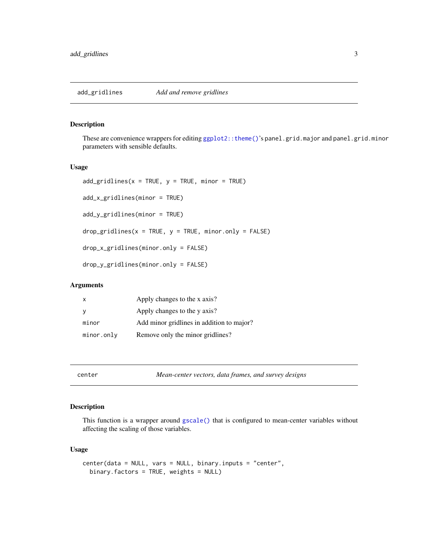<span id="page-2-0"></span>

## Description

These are convenience wrappers for editing [ggplot2::theme\(\)](#page-0-0)'s panel.grid.major and panel.grid.minor parameters with sensible defaults.

#### Usage

```
add\_gridlines(x = TRUE, y = TRUE, minor = TRUE)add_x_gridlines(minor = TRUE)
add_y_gridlines(minor = TRUE)
drop\_gridlines(x = TRUE, y = TRUE, minor-only = FALSE)drop_x_gridlines(minor.only = FALSE)
drop_y_gridlines(minor.only = FALSE)
```
## Arguments

| X           | Apply changes to the x axis?              |
|-------------|-------------------------------------------|
| y           | Apply changes to the y axis?              |
| minor       | Add minor gridlines in addition to major? |
| minor. only | Remove only the minor gridlines?          |

<span id="page-2-1"></span>

center *Mean-center vectors, data frames, and survey designs*

## Description

This function is a wrapper around [gscale\(\)](#page-15-1) that is configured to mean-center variables without affecting the scaling of those variables.

## Usage

```
center(data = NULL, vars = NULL, binary.inputs = "center",
 binary.factors = TRUE, weights = NULL)
```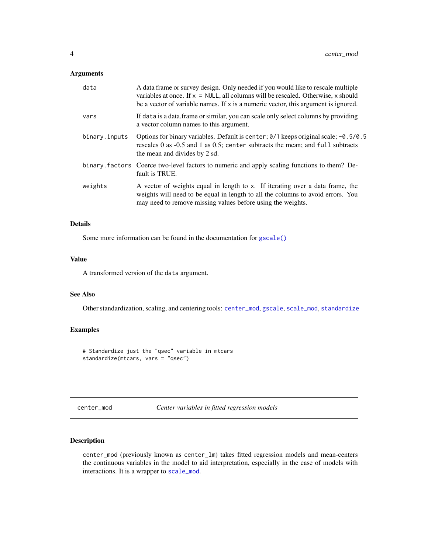## <span id="page-3-0"></span>Arguments

| data          | A data frame or survey design. Only needed if you would like to rescale multiple<br>variables at once. If $x = NULL$ , all columns will be rescaled. Otherwise, x should<br>be a vector of variable names. If x is a numeric vector, this argument is ignored. |
|---------------|----------------------------------------------------------------------------------------------------------------------------------------------------------------------------------------------------------------------------------------------------------------|
| vars          | If data is a data frame or similar, you can scale only select columns by providing<br>a vector column names to this argument.                                                                                                                                  |
| binary.inputs | Options for binary variables. Default is center; $0/1$ keeps original scale; $-0.5/0.5$<br>rescales 0 as -0.5 and 1 as 0.5; center subtracts the mean; and full subtracts<br>the mean and divides by 2 sd.                                                     |
|               | binary. factors Coerce two-level factors to numeric and apply scaling functions to them? De-<br>fault is TRUE.                                                                                                                                                 |
| weights       | A vector of weights equal in length to x. If iterating over a data frame, the<br>weights will need to be equal in length to all the columns to avoid errors. You<br>may need to remove missing values before using the weights.                                |

## Details

Some more information can be found in the documentation for [gscale\(\)](#page-15-1)

## Value

A transformed version of the data argument.

## See Also

Other standardization, scaling, and centering tools: [center\\_mod](#page-3-1), [gscale](#page-15-1), [scale\\_mod](#page-30-1), [standardize](#page-33-1)

## Examples

# Standardize just the "qsec" variable in mtcars standardize(mtcars, vars = "qsec")

<span id="page-3-1"></span>center\_mod *Center variables in fitted regression models*

#### Description

center\_mod (previously known as center\_lm) takes fitted regression models and mean-centers the continuous variables in the model to aid interpretation, especially in the case of models with interactions. It is a wrapper to [scale\\_mod](#page-30-1).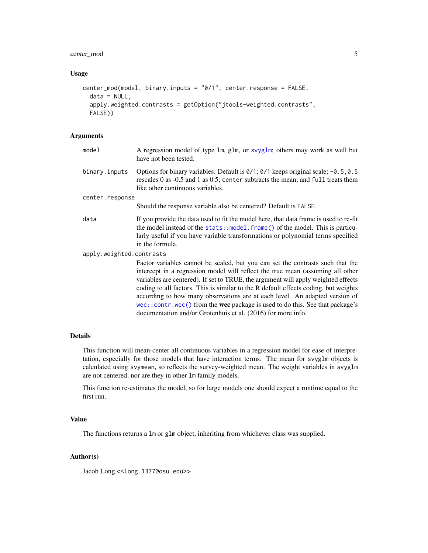## <span id="page-4-0"></span>center\_mod 5

#### Usage

```
center_mod(model, binary.inputs = "0/1", center.response = FALSE,
  data = NULL,
  apply.weighted.contrasts = getOption("jtools-weighted.contrasts",
  FALSE))
```
#### Arguments

| model                    | A regression model of type 1m, g1m, or svyg1m; others may work as well but<br>have not been tested.                                                                                                                                                                                                                                                                                                                                                                                                                                                                         |  |
|--------------------------|-----------------------------------------------------------------------------------------------------------------------------------------------------------------------------------------------------------------------------------------------------------------------------------------------------------------------------------------------------------------------------------------------------------------------------------------------------------------------------------------------------------------------------------------------------------------------------|--|
| binary.inputs            | Options for binary variables. Default is $0/1$ ; $0/1$ keeps original scale; $-0.5$ , 0.5<br>rescales 0 as -0.5 and 1 as 0.5; center subtracts the mean; and full treats them<br>like other continuous variables.                                                                                                                                                                                                                                                                                                                                                           |  |
| center.response          |                                                                                                                                                                                                                                                                                                                                                                                                                                                                                                                                                                             |  |
|                          | Should the response variable also be centered? Default is FALSE.                                                                                                                                                                                                                                                                                                                                                                                                                                                                                                            |  |
| data                     | If you provide the data used to fit the model here, that data frame is used to re-fit<br>the model instead of the stats::model.frame() of the model. This is particu-<br>larly useful if you have variable transformations or polynomial terms specified<br>in the formula.                                                                                                                                                                                                                                                                                                 |  |
| apply.weighted.contrasts |                                                                                                                                                                                                                                                                                                                                                                                                                                                                                                                                                                             |  |
|                          | Factor variables cannot be scaled, but you can set the contrasts such that the<br>intercept in a regression model will reflect the true mean (assuming all other<br>variables are centered). If set to TRUE, the argument will apply weighted effects<br>coding to all factors. This is similar to the R default effects coding, but weights<br>according to how many observations are at each level. An adapted version of<br>wec::contr.wec() from the wec package is used to do this. See that package's<br>documentation and/or Grotenhuis et al. (2016) for more info. |  |

## Details

This function will mean-center all continuous variables in a regression model for ease of interpretation, especially for those models that have interaction terms. The mean for svyglm objects is calculated using svymean, so reflects the survey-weighted mean. The weight variables in svyglm are not centered, nor are they in other lm family models.

This function re-estimates the model, so for large models one should expect a runtime equal to the first run.

## Value

The functions returns a lm or glm object, inheriting from whichever class was supplied.

## Author(s)

Jacob Long << long.1377@osu.edu>>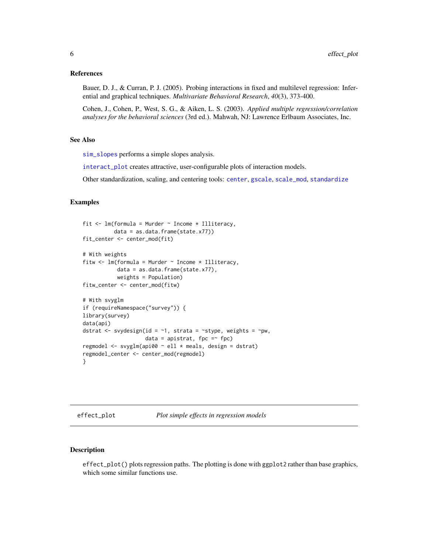#### <span id="page-5-0"></span>References

Bauer, D. J., & Curran, P. J. (2005). Probing interactions in fixed and multilevel regression: Inferential and graphical techniques. *Multivariate Behavioral Research*, *40*(3), 373-400.

Cohen, J., Cohen, P., West, S. G., & Aiken, L. S. (2003). *Applied multiple regression/correlation analyses for the behavioral sciences* (3rd ed.). Mahwah, NJ: Lawrence Erlbaum Associates, Inc.

## See Also

[sim\\_slopes](#page-18-1) performs a simple slopes analysis.

[interact\\_plot](#page-18-2) creates attractive, user-configurable plots of interaction models.

Other standardization, scaling, and centering tools: [center](#page-2-1), [gscale](#page-15-1), [scale\\_mod](#page-30-1), [standardize](#page-33-1)

## Examples

```
fit \leq lm(formula = Murder \sim Income \star Illiteracy,
          data = as.data.frame(state.x77))
fit_center <- center_mod(fit)
# With weights
fitw <- lm(formula = Murder ~ Income * Illiteracy,
           data = as.data.frame(state.x77),
           weights = Population)
fitw_center <- center_mod(fitw)
# With svyglm
if (requireNamespace("survey")) {
library(survey)
data(api)
dstrat <- svydesign(id = \sim1, strata = \simstype, weights = \simpw,
                    data = apistrat, fpc =~ fpc)
regmodel <- svyglm(api00 ~ ell * meals, design = dstrat)
regmodel_center <- center_mod(regmodel)
}
```
<span id="page-5-1"></span>effect\_plot *Plot simple effects in regression models*

#### Description

effect\_plot() plots regression paths. The plotting is done with ggplot2 rather than base graphics, which some similar functions use.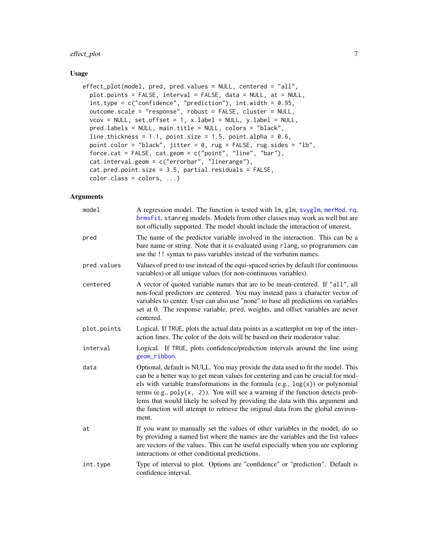## <span id="page-6-0"></span>effect\_plot 7

## Usage

```
effect_plot(model, pred, pred.values = NULL, centered = "all",
 plot.points = FALSE, interval = FALSE, data = NULL, at = NULL,
  int-type = c("confidence", "prediction"), int.width = 0.95,outcome.scale = "response", robust = FALSE, cluster = NULL,
  vcov = NULL, set.offset = 1, x.label = NULL, y.label = NULL,
  pred.labels = NULL, main.title = NULL, colors = "black",
  line.thickness = 1.1, point.size = 1.5, point.alpha = 0.6,
  point.color = "black", jitter = 0, rug = FALSE, rug.sides = "lb",
  force.cat = FALSE, cat.geom = c("point", "line", "bar"),
  cat.interval.geom = c("errorbar", "linerange"),
 cat.pred.point.size = 3.5, partial.residuals = FALSE,
 color.class = colors, ...)
```

| model       | A regression model. The function is tested with lm, glm, svyglm, merMod, rq,<br>brmsfit, stanreg models. Models from other classes may work as well but are<br>not officially supported. The model should include the interaction of interest.                                                                                                                                                                                                                                                                            |
|-------------|---------------------------------------------------------------------------------------------------------------------------------------------------------------------------------------------------------------------------------------------------------------------------------------------------------------------------------------------------------------------------------------------------------------------------------------------------------------------------------------------------------------------------|
| pred        | The name of the predictor variable involved in the interaction. This can be a<br>bare name or string. Note that it is evaluated using rlang, so programmers can<br>use the !! syntax to pass variables instead of the verbatim names.                                                                                                                                                                                                                                                                                     |
| pred.values | Values of pred to use instead of the equi-spaced series by default (for continuous<br>variables) or all unique values (for non-continuous variables).                                                                                                                                                                                                                                                                                                                                                                     |
| centered    | A vector of quoted variable names that are to be mean-centered. If "all", all<br>non-focal predictors are centered. You may instead pass a character vector of<br>variables to center. User can also use "none" to base all predictions on variables<br>set at 0. The response variable, pred, weights, and offset variables are never<br>centered.                                                                                                                                                                       |
| plot.points | Logical. If TRUE, plots the actual data points as a scatterplot on top of the inter-<br>action lines. The color of the dots will be based on their moderator value.                                                                                                                                                                                                                                                                                                                                                       |
| interval    | Logical. If TRUE, plots confidence/prediction intervals around the line using<br>geom_ribbon.                                                                                                                                                                                                                                                                                                                                                                                                                             |
| data        | Optional, default is NULL. You may provide the data used to fit the model. This<br>can be a better way to get mean values for centering and can be crucial for mod-<br>els with variable transformations in the formula $(e.g., log(x))$ or polynomial<br>terms (e.g., $poly(x, 2)$ ). You will see a warning if the function detects prob-<br>lems that would likely be solved by providing the data with this argument and<br>the function will attempt to retrieve the original data from the global environ-<br>ment. |
| at          | If you want to manually set the values of other variables in the model, do so<br>by providing a named list where the names are the variables and the list values<br>are vectors of the values. This can be useful especially when you are exploring<br>interactions or other conditional predictions.                                                                                                                                                                                                                     |
| int.type    | Type of interval to plot. Options are "confidence" or "prediction". Default is<br>confidence interval.                                                                                                                                                                                                                                                                                                                                                                                                                    |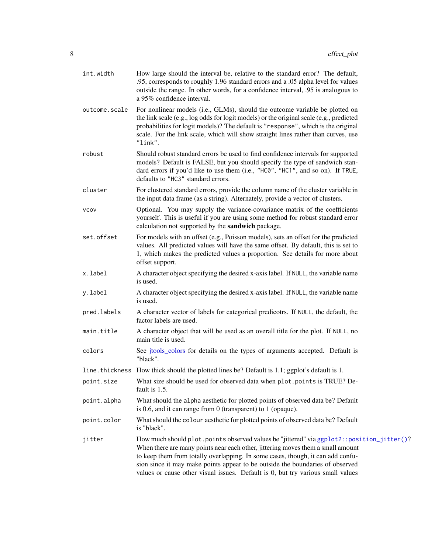<span id="page-7-0"></span>

| int.width     | How large should the interval be, relative to the standard error? The default,<br>.95, corresponds to roughly 1.96 standard errors and a .05 alpha level for values<br>outside the range. In other words, for a confidence interval, .95 is analogous to<br>a 95% confidence interval.                                                                                                                                              |
|---------------|-------------------------------------------------------------------------------------------------------------------------------------------------------------------------------------------------------------------------------------------------------------------------------------------------------------------------------------------------------------------------------------------------------------------------------------|
| outcome.scale | For nonlinear models (i.e., GLMs), should the outcome variable be plotted on<br>the link scale (e.g., log odds for logit models) or the original scale (e.g., predicted<br>probabilities for logit models)? The default is "response", which is the original<br>scale. For the link scale, which will show straight lines rather than curves, use<br>"link".                                                                        |
| robust        | Should robust standard errors be used to find confidence intervals for supported<br>models? Default is FALSE, but you should specify the type of sandwich stan-<br>dard errors if you'd like to use them (i.e., "HC0", "HC1", and so on). If TRUE,<br>defaults to "HC3" standard errors.                                                                                                                                            |
| cluster       | For clustered standard errors, provide the column name of the cluster variable in<br>the input data frame (as a string). Alternately, provide a vector of clusters.                                                                                                                                                                                                                                                                 |
| <b>VCOV</b>   | Optional. You may supply the variance-covariance matrix of the coefficients<br>yourself. This is useful if you are using some method for robust standard error<br>calculation not supported by the sandwich package.                                                                                                                                                                                                                |
| set.offset    | For models with an offset (e.g., Poisson models), sets an offset for the predicted<br>values. All predicted values will have the same offset. By default, this is set to<br>1, which makes the predicted values a proportion. See details for more about<br>offset support.                                                                                                                                                         |
| x.label       | A character object specifying the desired x-axis label. If NULL, the variable name<br>is used.                                                                                                                                                                                                                                                                                                                                      |
| y.label       | A character object specifying the desired x-axis label. If NULL, the variable name<br>is used.                                                                                                                                                                                                                                                                                                                                      |
| pred.labels   | A character vector of labels for categorical predicotrs. If NULL, the default, the<br>factor labels are used.                                                                                                                                                                                                                                                                                                                       |
| main.title    | A character object that will be used as an overall title for the plot. If NULL, no<br>main title is used.                                                                                                                                                                                                                                                                                                                           |
| colors        | See jtools_colors for details on the types of arguments accepted. Default is<br>"black".                                                                                                                                                                                                                                                                                                                                            |
|               | line. thickness How thick should the plotted lines be? Default is 1.1; ggplot's default is 1.                                                                                                                                                                                                                                                                                                                                       |
| point.size    | What size should be used for observed data when plot.points is TRUE? De-<br>fault is 1.5.                                                                                                                                                                                                                                                                                                                                           |
| point.alpha   | What should the alpha aesthetic for plotted points of observed data be? Default<br>is 0.6, and it can range from 0 (transparent) to 1 (opaque).                                                                                                                                                                                                                                                                                     |
| point.color   | What should the colour aesthetic for plotted points of observed data be? Default<br>is "black".                                                                                                                                                                                                                                                                                                                                     |
| jitter        | How much should plot.points observed values be "jittered" via ggplot2::position_jitter()?<br>When there are many points near each other, jittering moves them a small amount<br>to keep them from totally overlapping. In some cases, though, it can add confu-<br>sion since it may make points appear to be outside the boundaries of observed<br>values or cause other visual issues. Default is 0, but try various small values |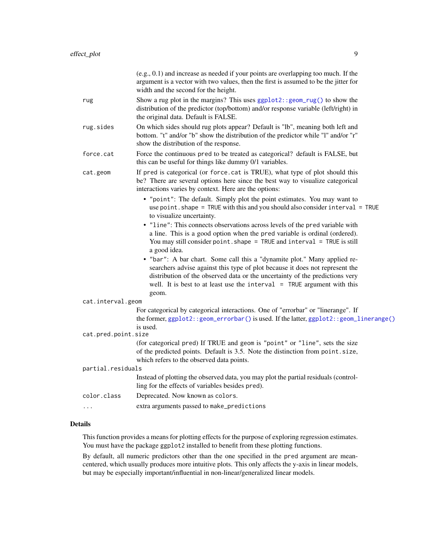<span id="page-8-0"></span>

|                     | $(e.g., 0.1)$ and increase as needed if your points are overlapping too much. If the<br>argument is a vector with two values, then the first is assumed to be the jitter for<br>width and the second for the height.                                                                                                           |
|---------------------|--------------------------------------------------------------------------------------------------------------------------------------------------------------------------------------------------------------------------------------------------------------------------------------------------------------------------------|
| rug                 | Show a rug plot in the margins? This uses $ggplot2$ : : $geom_rug()$ to show the<br>distribution of the predictor (top/bottom) and/or response variable (left/right) in<br>the original data. Default is FALSE.                                                                                                                |
| rug.sides           | On which sides should rug plots appear? Default is "lb", meaning both left and<br>bottom. "t" and/or "b" show the distribution of the predictor while "l" and/or "r"<br>show the distribution of the response.                                                                                                                 |
| force.cat           | Force the continuous pred to be treated as categorical? default is FALSE, but<br>this can be useful for things like dummy 0/1 variables.                                                                                                                                                                                       |
| cat.geom            | If pred is categorical (or force.cat is TRUE), what type of plot should this<br>be? There are several options here since the best way to visualize categorical<br>interactions varies by context. Here are the options:                                                                                                        |
|                     | • "point": The default. Simply plot the point estimates. You may want to<br>use point. shape = TRUE with this and you should also consider interval = TRUE<br>to visualize uncertainty.                                                                                                                                        |
|                     | • "line": This connects observations across levels of the pred variable with<br>a line. This is a good option when the pred variable is ordinal (ordered).<br>You may still consider point. shape = TRUE and interval = TRUE is still<br>a good idea.                                                                          |
|                     | • "bar": A bar chart. Some call this a "dynamite plot." Many applied re-<br>searchers advise against this type of plot because it does not represent the<br>distribution of the observed data or the uncertainty of the predictions very<br>well. It is best to at least use the interval $=$ TRUE argument with this<br>geom. |
| cat.interval.geom   |                                                                                                                                                                                                                                                                                                                                |
|                     | For categorical by categorical interactions. One of "errorbar" or "linerange". If<br>the former, ggplot2::geom_errorbar() is used. If the latter, ggplot2::geom_linerange()<br>is used.                                                                                                                                        |
| cat.pred.point.size |                                                                                                                                                                                                                                                                                                                                |
|                     | (for categorical pred) If TRUE and geom is "point" or "line", sets the size<br>of the predicted points. Default is 3.5. Note the distinction from point.size,<br>which refers to the observed data points.                                                                                                                     |
| partial.residuals   |                                                                                                                                                                                                                                                                                                                                |
|                     | Instead of plotting the observed data, you may plot the partial residuals (control-<br>ling for the effects of variables besides pred).                                                                                                                                                                                        |
| color.class         | Deprecated. Now known as colors.                                                                                                                                                                                                                                                                                               |
|                     | extra arguments passed to make_predictions                                                                                                                                                                                                                                                                                     |

## Details

This function provides a means for plotting effects for the purpose of exploring regression estimates. You must have the package ggplot2 installed to benefit from these plotting functions.

By default, all numeric predictors other than the one specified in the pred argument are meancentered, which usually produces more intuitive plots. This only affects the y-axis in linear models, but may be especially important/influential in non-linear/generalized linear models.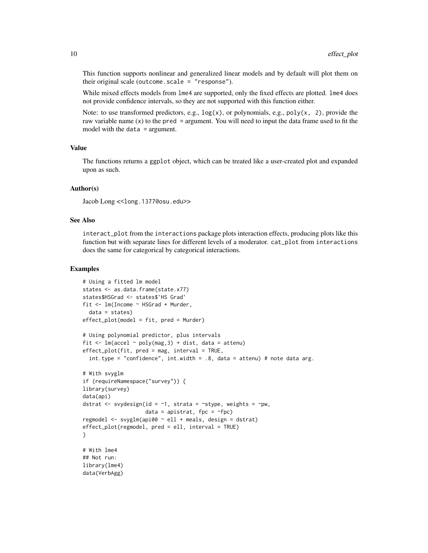This function supports nonlinear and generalized linear models and by default will plot them on their original scale (outcome. scale  $=$  "response").

While mixed effects models from  $\text{Im}e4$  are supported, only the fixed effects are plotted.  $\text{Im}e4$  does not provide confidence intervals, so they are not supported with this function either.

Note: to use transformed predictors, e.g.,  $log(x)$ , or polynomials, e.g., poly(x, 2), provide the raw variable name  $(x)$  to the pred = argument. You will need to input the data frame used to fit the model with the data = argument.

#### Value

The functions returns a ggplot object, which can be treated like a user-created plot and expanded upon as such.

### Author(s)

Jacob Long << long.1377@osu.edu>>

#### See Also

interact\_plot from the interactions package plots interaction effects, producing plots like this function but with separate lines for different levels of a moderator. cat\_plot from interactions does the same for categorical by categorical interactions.

#### Examples

```
# Using a fitted lm model
states <- as.data.frame(state.x77)
states$HSGrad <- states$`HS Grad`
fit <- lm(Income ~ HSGrad + Murder,
 data = states)
effect\_plot(model = fit, pred = Murder)# Using polynomial predictor, plus intervals
fit \leq lm(accel \sim poly(mag, 3) + dist, data = attenu)
effect_plot(fit, pred = mag, interval = TRUE,
 int.type = "confidence", int.width = .8, data = attenu) # note data arg.
# With svyglm
if (requireNamespace("survey")) {
library(survey)
data(api)
dstrat <- svydesign(id = \sim1, strata = \simstype, weights = \simpw,
                    data = apistrat, fpc = \simfpc)
regmodel <- svyglm(api00 ~ ell + meals, design = dstrat)
effect_plot(regmodel, pred = ell, interval = TRUE)
}
# With lme4
## Not run:
library(lme4)
data(VerbAgg)
```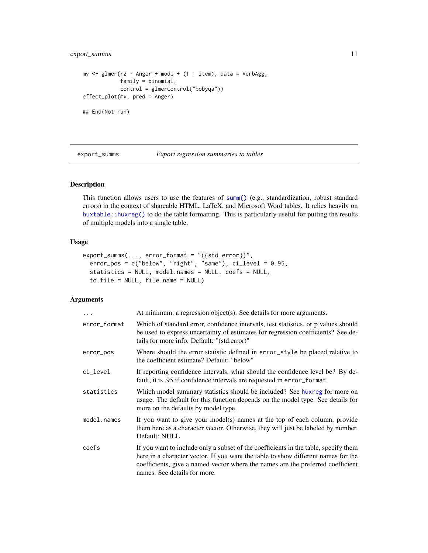## <span id="page-10-0"></span>export\_summs 11

```
mv <- glmer(r2 \sim Anger + mode + (1 | item), data = VerbAgg,
            family = binomial,
            control = glmerControl("bobyqa"))
effect_plot(mv, pred = Anger)
## End(Not run)
```
<span id="page-10-1"></span>export\_summs *Export regression summaries to tables*

## Description

This function allows users to use the features of [summ\(\)](#page-34-1) (e.g., standardization, robust standard errors) in the context of shareable HTML, LaTeX, and Microsoft Word tables. It relies heavily on [huxtable::huxreg\(\)](#page-0-0) to do the table formatting. This is particularly useful for putting the results of multiple models into a single table.

## Usage

```
export_summs(..., error_format = "({std.error})",
  error_pos = c("below", "right", "same"), ci_level = 0.95,
  statistics = NULL, model.names = NULL, coefs = NULL,
  to.file = NULL, file.name = NULL)
```

| $\ddots$     | At minimum, a regression object(s). See details for more arguments.                                                                                                                                                                                                                         |
|--------------|---------------------------------------------------------------------------------------------------------------------------------------------------------------------------------------------------------------------------------------------------------------------------------------------|
| error_format | Which of standard error, confidence intervals, test statistics, or p values should<br>be used to express uncertainty of estimates for regression coefficients? See de-<br>tails for more info. Default: "(std.error)"                                                                       |
| error_pos    | Where should the error statistic defined in error_style be placed relative to<br>the coefficient estimate? Default: "below"                                                                                                                                                                 |
| ci_level     | If reporting confidence intervals, what should the confidence level be? By de-<br>fault, it is .95 if confidence intervals are requested in error_format.                                                                                                                                   |
| statistics   | Which model summary statistics should be included? See huxreg for more on<br>usage. The default for this function depends on the model type. See details for<br>more on the defaults by model type.                                                                                         |
| model.names  | If you want to give your model(s) names at the top of each column, provide<br>them here as a character vector. Otherwise, they will just be labeled by number.<br>Default: NULL                                                                                                             |
| coefs        | If you want to include only a subset of the coefficients in the table, specify them<br>here in a character vector. If you want the table to show different names for the<br>coefficients, give a named vector where the names are the preferred coefficient<br>names. See details for more. |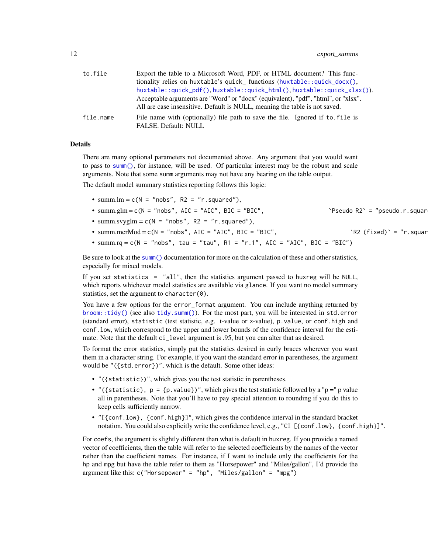<span id="page-11-0"></span>

| to.file   | Export the table to a Microsoft Word, PDF, or HTML document? This func-           |
|-----------|-----------------------------------------------------------------------------------|
|           | tionality relies on huxtable's quick_functions (huxtable::quick_docx(),           |
|           | huxtable::quick_pdf(),huxtable::quick_html(),huxtable::quick_xlsx()).             |
|           | Acceptable arguments are "Word" or "docx" (equivalent), "pdf", "html", or "xlsx". |
|           | All are case insensitive. Default is NULL, meaning the table is not saved.        |
| file.name | File name with (optionally) file path to save the file. Ignored if to file is     |
|           | <b>FALSE.</b> Default: NULL                                                       |

#### Details

There are many optional parameters not documented above. Any argument that you would want to pass to [summ\(\)](#page-34-1), for instance, will be used. Of particular interest may be the robust and scale arguments. Note that some summ arguments may not have any bearing on the table output.

The default model summary statistics reporting follows this logic:

- summ. $lm = c(N = "nobs", R2 = "r.squared"),$
- summ.glm =  $c(N = "nobs", AIC = "AIC", BIC = "BIC", \n"Pseudo R2' = "pseudo.r.squar"$
- summ.svyglm =  $c(N = "nobs", R2 = "r.squared"),$
- summ.merMod = c(N = "nobs", AIC = "AIC", BIC = "BIC",  $R2 (fixed)' = "r.squar$
- summ.rq = c(N = "nobs", tau = "tau", R1 = "r.1", AIC = "AIC", BIC = "BIC")

Be sure to look at the [summ\(\)](#page-34-1) documentation for more on the calculation of these and other statistics, especially for mixed models.

If you set statistics = "all", then the statistics argument passed to huxreg will be NULL, which reports whichever model statistics are available via glance. If you want no model summary statistics, set the argument to character(0).

You have a few options for the error\_format argument. You can include anything returned by [broom::tidy\(\)](#page-0-0) (see also [tidy.summ\(\)](#page-55-1)). For the most part, you will be interested in std.error (standard error), statistic (test statistic, e.g. t-value or z-value), p.value, or conf.high and conf.low, which correspond to the upper and lower bounds of the confidence interval for the estimate. Note that the default ci\_level argument is .95, but you can alter that as desired.

To format the error statistics, simply put the statistics desired in curly braces wherever you want them in a character string. For example, if you want the standard error in parentheses, the argument would be "({std.error})", which is the default. Some other ideas:

- "({statistic})", which gives you the test statistic in parentheses.
- "({statistic},  $p = \{p.value\}$ ", which gives the test statistic followed by a " $p = "p$  value" all in parentheses. Note that you'll have to pay special attention to rounding if you do this to keep cells sufficiently narrow.
- "[{conf.low}, {conf.high}]", which gives the confidence interval in the standard bracket notation. You could also explicitly write the confidence level, e.g., "CI [{conf.low}, {conf.high}]".

For coefs, the argument is slightly different than what is default in huxreg. If you provide a named vector of coefficients, then the table will refer to the selected coefficients by the names of the vector rather than the coefficient names. For instance, if I want to include only the coefficients for the hp and mpg but have the table refer to them as "Horsepower" and "Miles/gallon", I'd provide the argument like this: c("Horsepower" = "hp", "Miles/gallon" = "mpg")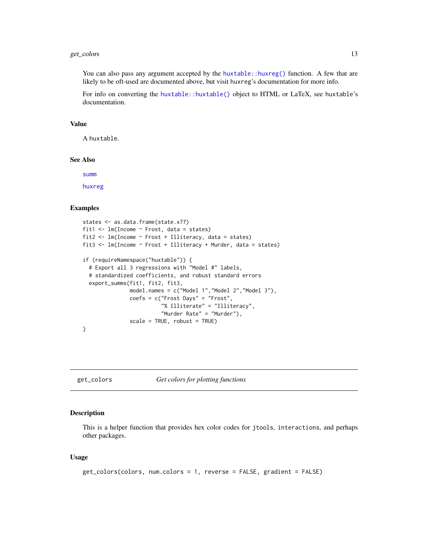## <span id="page-12-0"></span>get\_colors 13

You can also pass any argument accepted by the [huxtable::huxreg\(\)](#page-0-0) function. A few that are likely to be oft-used are documented above, but visit huxreg's documentation for more info.

For info on converting the [huxtable::huxtable\(\)](#page-0-0) object to HTML or LaTeX, see huxtable's documentation.

#### Value

A huxtable.

## See Also

[summ](#page-34-1)

[huxreg](#page-0-0)

#### Examples

```
states <- as.data.frame(state.x77)
fit1 <- lm(Income ~ Frost, data = states)
fit2 <- lm(Income ~ Frost + Illiteracy, data = states)
fit3 <- lm(Income ~ Frost + Illiteracy + Murder, data = states)
if (requireNamespace("huxtable")) {
  # Export all 3 regressions with "Model #" labels,
  # standardized coefficients, and robust standard errors
  export_summs(fit1, fit2, fit3,
               model.names = c("Model 1","Model 2","Model 3"),
               coefs = c("Frost Days" = "Frost",
                         "% Illiterate" = "Illiteracy",
                         "Murder Rate" = "Murder"),
               scale = TRUE, robust = TRUE)}
```
get\_colors *Get colors for plotting functions*

#### Description

This is a helper function that provides hex color codes for jtools, interactions, and perhaps other packages.

#### Usage

```
get_colors(colors, num.colors = 1, reverse = FALSE, gradient = FALSE)
```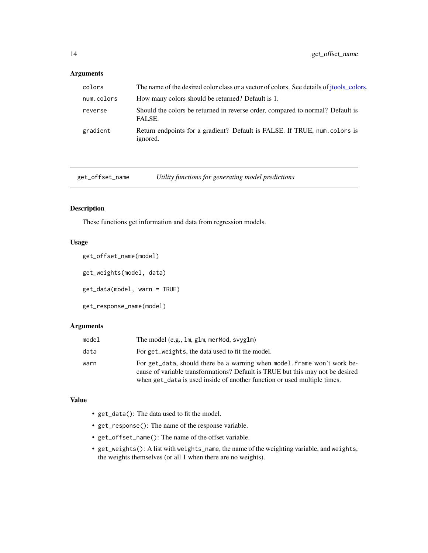## <span id="page-13-0"></span>Arguments

| colors     | The name of the desired color class or a vector of colors. See details of jtools_colors. |
|------------|------------------------------------------------------------------------------------------|
| num.colors | How many colors should be returned? Default is 1.                                        |
| reverse    | Should the colors be returned in reverse order, compared to normal? Default is<br>FALSE. |
| gradient   | Return endpoints for a gradient? Default is FALSE. If TRUE, num. colors is<br>ignored.   |

get\_offset\_name *Utility functions for generating model predictions*

## Description

These functions get information and data from regression models.

## Usage

```
get_offset_name(model)
get_weights(model, data)
get_data(model, warn = TRUE)
get_response_name(model)
```
## Arguments

| model | The model $(e.g., \text{lm}, g\text{lm}, \text{merMod}, \text{svyglm})$                                                                                                                                                                |
|-------|----------------------------------------------------------------------------------------------------------------------------------------------------------------------------------------------------------------------------------------|
| data  | For get_weights, the data used to fit the model.                                                                                                                                                                                       |
| warn  | For get_data, should there be a warning when model, frame won't work be-<br>cause of variable transformations? Default is TRUE but this may not be desired<br>when get_data is used inside of another function or used multiple times. |

#### Value

- get\_data(): The data used to fit the model.
- get\_response(): The name of the response variable.
- get\_offset\_name(): The name of the offset variable.
- get\_weights(): A list with weights\_name, the name of the weighting variable, and weights, the weights themselves (or all 1 when there are no weights).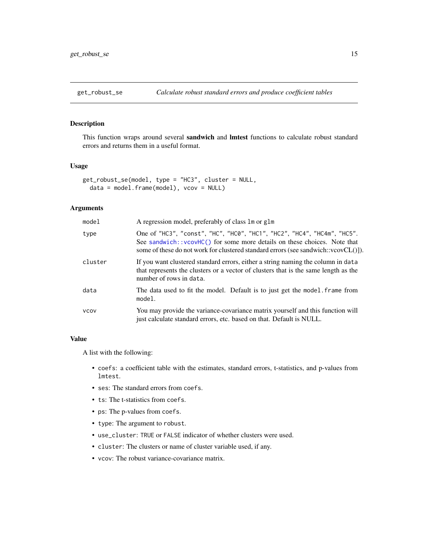<span id="page-14-0"></span>

## Description

This function wraps around several sandwich and lmtest functions to calculate robust standard errors and returns them in a useful format.

## Usage

```
get_robust_se(model, type = "HC3", cluster = NULL,
  data = model.frame(model), vcov = NULL)
```
## Arguments

| model       | A regression model, preferably of class 1 m or g1 m                                                                                                                                                                                            |
|-------------|------------------------------------------------------------------------------------------------------------------------------------------------------------------------------------------------------------------------------------------------|
| type        | One of "HC3", "const", "HC", "HC0", "HC1", "HC2", "HC4", "HC4m", "HC5".<br>See sandwich: : vcovHC() for some more details on these choices. Note that<br>some of these do not work for clustered standard errors (see sandwich:: $vcovCL()$ ). |
| cluster     | If you want clustered standard errors, either a string naming the column in data<br>that represents the clusters or a vector of clusters that is the same length as the<br>number of rows in data.                                             |
| data        | The data used to fit the model. Default is to just get the model. frame from<br>model.                                                                                                                                                         |
| <b>VCOV</b> | You may provide the variance-covariance matrix yourself and this function will<br>just calculate standard errors, etc. based on that. Default is NULL.                                                                                         |

#### Value

A list with the following:

- coefs: a coefficient table with the estimates, standard errors, t-statistics, and p-values from lmtest.
- ses: The standard errors from coefs.
- ts: The t-statistics from coefs.
- ps: The p-values from coefs.
- type: The argument to robust.
- use\_cluster: TRUE or FALSE indicator of whether clusters were used.
- cluster: The clusters or name of cluster variable used, if any.
- vcov: The robust variance-covariance matrix.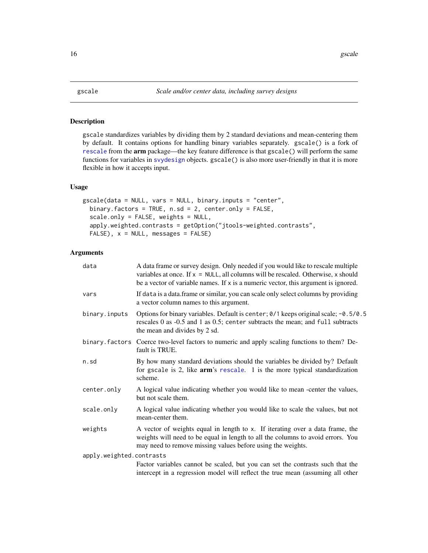#### <span id="page-15-1"></span><span id="page-15-0"></span>Description

gscale standardizes variables by dividing them by 2 standard deviations and mean-centering them by default. It contains options for handling binary variables separately. gscale() is a fork of [rescale](#page-0-0) from the arm package—the key feature difference is that gscale() will perform the same functions for variables in [svydesign](#page-0-0) objects. gscale() is also more user-friendly in that it is more flexible in how it accepts input.

## Usage

```
gscale(data = NULL, vars = NULL, binary.inputs = "center",
 binary.factors = TRUE, n.sd = 2, center.only = FALSE,
  scale.only = FALSE, weights = NULL,
  apply.weighted.contrasts = getOption("jtools-weighted.contrasts",
 FALSE, x = NULL, messages = FALSE)
```

| data                     | A data frame or survey design. Only needed if you would like to rescale multiple<br>variables at once. If $x = NULL$ , all columns will be rescaled. Otherwise, x should<br>be a vector of variable names. If x is a numeric vector, this argument is ignored. |
|--------------------------|----------------------------------------------------------------------------------------------------------------------------------------------------------------------------------------------------------------------------------------------------------------|
| vars                     | If data is a data.frame or similar, you can scale only select columns by providing<br>a vector column names to this argument.                                                                                                                                  |
| binary.inputs            | Options for binary variables. Default is center; 0/1 keeps original scale; -0.5/0.5<br>rescales 0 as -0.5 and 1 as 0.5; center subtracts the mean; and full subtracts<br>the mean and divides by 2 sd.                                                         |
|                          | binary factors Coerce two-level factors to numeric and apply scaling functions to them? De-<br>fault is TRUE.                                                                                                                                                  |
| n.sd                     | By how many standard deviations should the variables be divided by? Default<br>for gscale is 2, like arm's rescale. 1 is the more typical standardization<br>scheme.                                                                                           |
| center.only              | A logical value indicating whether you would like to mean -center the values,<br>but not scale them.                                                                                                                                                           |
| scale.only               | A logical value indicating whether you would like to scale the values, but not<br>mean-center them.                                                                                                                                                            |
| weights                  | A vector of weights equal in length to x. If iterating over a data frame, the<br>weights will need to be equal in length to all the columns to avoid errors. You<br>may need to remove missing values before using the weights.                                |
| apply.weighted.contrasts |                                                                                                                                                                                                                                                                |
|                          | Factor variables cannot be scaled, but you can set the contrasts such that the<br>intercept in a regression model will reflect the true mean (assuming all other                                                                                               |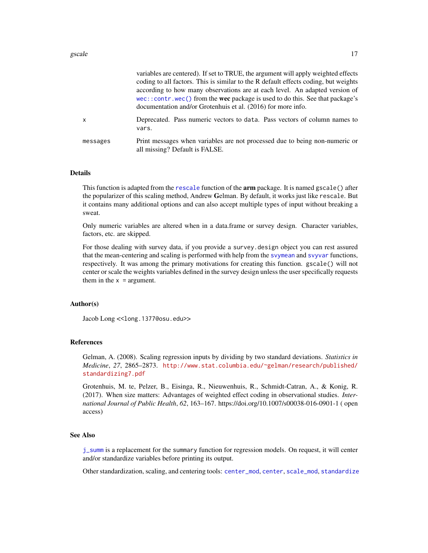<span id="page-16-0"></span>

|          | variables are centered). If set to TRUE, the argument will apply weighted effects<br>coding to all factors. This is similar to the R default effects coding, but weights<br>according to how many observations are at each level. An adapted version of<br>wec::contr.wec() from the wec package is used to do this. See that package's<br>documentation and/or Grotenhuis et al. (2016) for more info. |
|----------|---------------------------------------------------------------------------------------------------------------------------------------------------------------------------------------------------------------------------------------------------------------------------------------------------------------------------------------------------------------------------------------------------------|
| X        | Deprecated. Pass numeric vectors to data. Pass vectors of column names to<br>vars.                                                                                                                                                                                                                                                                                                                      |
| messages | Print messages when variables are not processed due to being non-numeric or<br>all missing? Default is FALSE.                                                                                                                                                                                                                                                                                           |

#### Details

This function is adapted from the [rescale](#page-0-0) function of the **arm** package. It is named gscale() after the popularizer of this scaling method, Andrew Gelman. By default, it works just like rescale. But it contains many additional options and can also accept multiple types of input without breaking a sweat.

Only numeric variables are altered when in a data.frame or survey design. Character variables, factors, etc. are skipped.

For those dealing with survey data, if you provide a survey.design object you can rest assured that the mean-centering and scaling is performed with help from the [svymean](#page-0-0) and [svyvar](#page-0-0) functions, respectively. It was among the primary motivations for creating this function. gscale() will not center or scale the weights variables defined in the survey design unless the user specifically requests them in the  $x = \text{argument.}$ 

## Author(s)

Jacob Long << long.1377@osu.edu>>

#### References

Gelman, A. (2008). Scaling regression inputs by dividing by two standard deviations. *Statistics in Medicine*, *27*, 2865–2873. [http://www.stat.columbia.edu/~gelman/research/published/](http://www.stat.columbia.edu/~gelman/research/published/standardizing7.pdf) [standardizing7.pdf](http://www.stat.columbia.edu/~gelman/research/published/standardizing7.pdf)

Grotenhuis, M. te, Pelzer, B., Eisinga, R., Nieuwenhuis, R., Schmidt-Catran, A., & Konig, R. (2017). When size matters: Advantages of weighted effect coding in observational studies. *International Journal of Public Health*, *62*, 163–167. https://doi.org/10.1007/s00038-016-0901-1 ( open access)

#### See Also

[j\\_summ](#page-34-2) is a replacement for the summary function for regression models. On request, it will center and/or standardize variables before printing its output.

Other standardization, scaling, and centering tools: [center\\_mod](#page-3-1), [center](#page-2-1), [scale\\_mod](#page-30-1), [standardize](#page-33-1)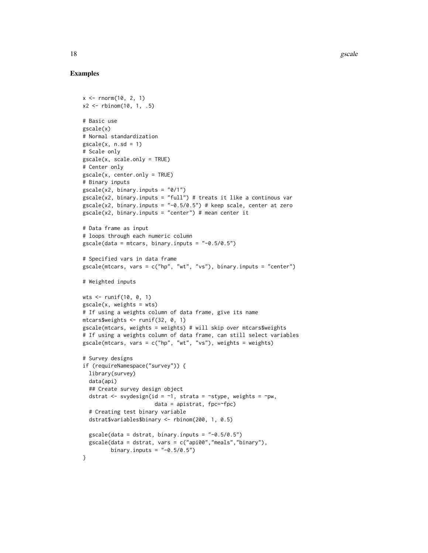## Examples

```
x < - rnorm(10, 2, 1)
x2 \le rbinom(10, 1, .5)
# Basic use
gscale(x)
# Normal standardization
\text{gscale}(x, n.sd = 1)# Scale only
gscale(x, scale.only = TRUE)
# Center only
gscale(x, center.only = TRUE)
# Binary inputs
gscale(x2, binary.inputs = "0/1")
gscale(x2, binary.inputs = "full") # treats it like a continous var
gscale(x2, binary.inputs = " -0.5/0.5") # keep scale, center at zero
\text{gscale}(x2, \text{ binary.inputs} = "center") # mean center it
# Data frame as input
# loops through each numeric column
\text{gscale}(\text{data = mtrans}, \text{binary.inputs = "-0.5/0.5")}# Specified vars in data frame
gscale(mtcars, vars = c("hp", "wt", "vs"), binary.inputs = "center")
# Weighted inputs
wts <- runif(10, 0, 1)
\text{gscale}(x, \text{ weights} = \text{wts})# If using a weights column of data frame, give its name
mtcars$weights <- runif(32, 0, 1)
gscale(mtcars, weights = weights) # will skip over mtcars$weights
# If using a weights column of data frame, can still select variables
gscale(mtcars, vars = c("hp", "wt", "vs"), weights = weights)
# Survey designs
if (requireNamespace("survey")) {
  library(survey)
  data(api)
  ## Create survey design object
  dstrat <- svydesign(id = \sim1, strata = \simstype, weights = \simpw,
                        data = apistrat, fpc=~fpc)
  # Creating test binary variable
  dstrat$variables$binary <- rbinom(200, 1, 0.5)
  \text{gscale}(\text{data} = \text{dstrat}, \text{binary. inputs} = "0.5/0.5")gscale(data = dstrat, vars = c("api00","meals","binary"),
         binary.inputs = " -0.5/0.5")}
```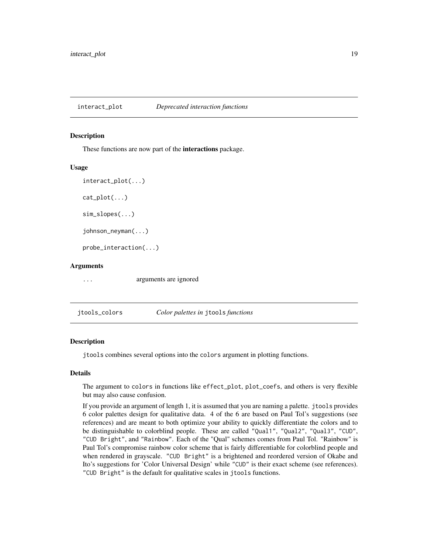<span id="page-18-2"></span><span id="page-18-0"></span>interact\_plot *Deprecated interaction functions*

#### <span id="page-18-1"></span>Description

These functions are now part of the interactions package.

#### Usage

```
interact_plot(...)
cat\_plot(...)sim_slopes(...)
johnson_neyman(...)
probe_interaction(...)
```
## Arguments

... arguments are ignored

<span id="page-18-3"></span>jtools\_colors *Color palettes in* jtools *functions*

## **Description**

jtools combines several options into the colors argument in plotting functions.

## Details

The argument to colors in functions like effect\_plot, plot\_coefs, and others is very flexible but may also cause confusion.

If you provide an argument of length 1, it is assumed that you are naming a palette. jtools provides 6 color palettes design for qualitative data. 4 of the 6 are based on Paul Tol's suggestions (see references) and are meant to both optimize your ability to quickly differentiate the colors and to be distinguishable to colorblind people. These are called "Qual1", "Qual2", "Qual3", "CUD", "CUD Bright", and "Rainbow". Each of the "Qual" schemes comes from Paul Tol. "Rainbow" is Paul Tol's compromise rainbow color scheme that is fairly differentiable for colorblind people and when rendered in grayscale. "CUD Bright" is a brightened and reordered version of Okabe and Ito's suggestions for 'Color Universal Design' while "CUD" is their exact scheme (see references). "CUD Bright" is the default for qualitative scales in jtools functions.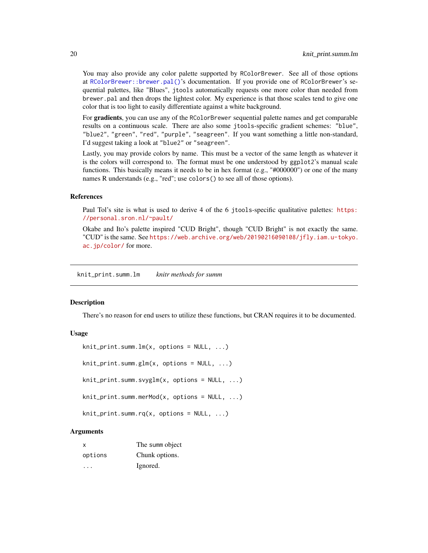You may also provide any color palette supported by RColorBrewer. See all of those options at [RColorBrewer::brewer.pal\(\)](#page-0-0)'s documentation. If you provide one of RColorBrewer's sequential palettes, like "Blues", jtools automatically requests one more color than needed from brewer.pal and then drops the lightest color. My experience is that those scales tend to give one color that is too light to easily differentiate against a white background.

For **gradients**, you can use any of the RColorBrewer sequential palette names and get comparable results on a continuous scale. There are also some jtools-specific gradient schemes: "blue", "blue2", "green", "red", "purple", "seagreen". If you want something a little non-standard, I'd suggest taking a look at "blue2" or "seagreen".

Lastly, you may provide colors by name. This must be a vector of the same length as whatever it is the colors will correspond to. The format must be one understood by ggplot2's manual scale functions. This basically means it needs to be in hex format (e.g., "#000000") or one of the many names R understands (e.g., "red"; use colors() to see all of those options).

#### References

Paul Tol's site is what is used to derive 4 of the 6 jtools-specific qualitative palettes: [https:](https://personal.sron.nl/~pault/) [//personal.sron.nl/~pault/](https://personal.sron.nl/~pault/)

Okabe and Ito's palette inspired "CUD Bright", though "CUD Bright" is not exactly the same. "CUD" is the same. See [https://web.archive.org/web/20190216090108/jfly.iam.u-tokyo.](https://web.archive.org/web/20190216090108/jfly.iam.u-tokyo.ac.jp/color/) [ac.jp/color/](https://web.archive.org/web/20190216090108/jfly.iam.u-tokyo.ac.jp/color/) for more.

knit\_print.summ.lm *knitr methods for summ*

#### Description

There's no reason for end users to utilize these functions, but CRAN requires it to be documented.

#### Usage

```
knit_print.summ.lm(x, options = NULL, ...)
knit_print.summ.glm(x, options = NULL, ...)
knit_print.summ.svyglm(x, options = NULL, ...)
knit_print.summ.merMod(x, options = NULL, ...)
```

```
knit_print.summ.rq(x, options = NULL, ...)
```

| x       | The summ object |
|---------|-----------------|
| options | Chunk options.  |
|         | Ignored.        |

<span id="page-19-0"></span>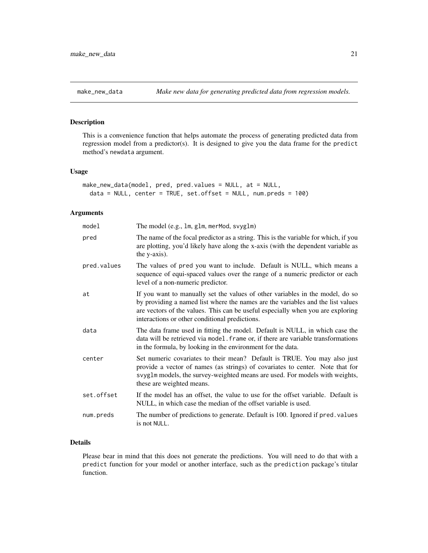#### <span id="page-20-1"></span><span id="page-20-0"></span>Description

This is a convenience function that helps automate the process of generating predicted data from regression model from a predictor(s). It is designed to give you the data frame for the predict method's newdata argument.

#### Usage

```
make_new_data(model, pred, pred.values = NULL, at = NULL,
 data = NULL, center = TRUE, set.offset = NULL, num.preds = 100)
```
## Arguments

| model       | The model (e.g., 1m, g1m, merMod, svyg1m)                                                                                                                                                                                                                                                             |
|-------------|-------------------------------------------------------------------------------------------------------------------------------------------------------------------------------------------------------------------------------------------------------------------------------------------------------|
| pred        | The name of the focal predictor as a string. This is the variable for which, if you<br>are plotting, you'd likely have along the x-axis (with the dependent variable as<br>the y-axis).                                                                                                               |
| pred.values | The values of pred you want to include. Default is NULL, which means a<br>sequence of equi-spaced values over the range of a numeric predictor or each<br>level of a non-numeric predictor.                                                                                                           |
| at          | If you want to manually set the values of other variables in the model, do so<br>by providing a named list where the names are the variables and the list values<br>are vectors of the values. This can be useful especially when you are exploring<br>interactions or other conditional predictions. |
| data        | The data frame used in fitting the model. Default is NULL, in which case the<br>data will be retrieved via model. frame or, if there are variable transformations<br>in the formula, by looking in the environment for the data.                                                                      |
| center      | Set numeric covariates to their mean? Default is TRUE. You may also just<br>provide a vector of names (as strings) of covariates to center. Note that for<br>svyglm models, the survey-weighted means are used. For models with weights,<br>these are weighted means.                                 |
| set.offset  | If the model has an offset, the value to use for the offset variable. Default is<br>NULL, in which case the median of the offset variable is used.                                                                                                                                                    |
| num.preds   | The number of predictions to generate. Default is 100. Ignored if pred. values<br>is not NULL.                                                                                                                                                                                                        |

## Details

Please bear in mind that this does not generate the predictions. You will need to do that with a predict function for your model or another interface, such as the prediction package's titular function.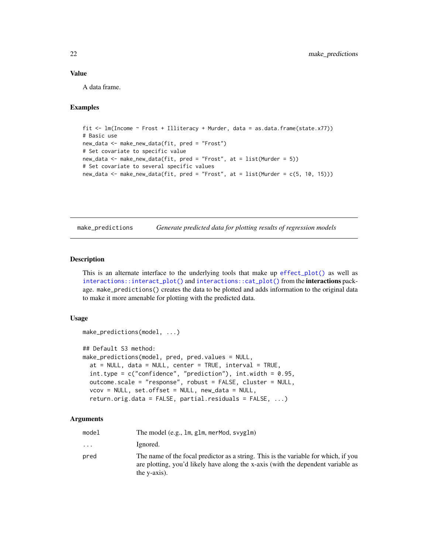## <span id="page-21-0"></span>Value

A data frame.

## Examples

```
fit <- lm(Income ~ Frost + Illiteracy + Murder, data = as.data.frame(state.x77))
# Basic use
new_data <- make_new_data(fit, pred = "Frost")
# Set covariate to specific value
new_data <- make_new_data(fit, pred = "Frost", at = list(Murder = 5))
# Set covariate to several specific values
new_data <- make_new_data(fit, pred = "Frost", at = list(Murder = c(5, 10, 15)))
```
make\_predictions *Generate predicted data for plotting results of regression models*

#### Description

This is an alternate interface to the underlying tools that make up [effect\\_plot\(\)](#page-5-1) as well as [interactions::interact\\_plot\(\)](#page-0-0) and [interactions::cat\\_plot\(\)](#page-0-0) from the **interactions** package. make\_predictions() creates the data to be plotted and adds information to the original data to make it more amenable for plotting with the predicted data.

#### Usage

```
make_predictions(model, ...)
## Default S3 method:
make_predictions(model, pred, pred.values = NULL,
  at = NULL, data = NULL, center = TRUE, interval = TRUE,
  int.type = c("confidence", "prediction"), int.width = 0.95,outcome.scale = "response", robust = FALSE, cluster = NULL,
  vcov = NULL, set.offset = NULL, new_data = NULL,
  return.orig.data = FALSE, partial.residuals = FALSE, ...)
```

| model    | The model (e.g., 1m, g1m, merMod, svyg1m)                                                                                                                                               |
|----------|-----------------------------------------------------------------------------------------------------------------------------------------------------------------------------------------|
| $\cdots$ | Ignored.                                                                                                                                                                                |
| pred     | The name of the focal predictor as a string. This is the variable for which, if you<br>are plotting, you'd likely have along the x-axis (with the dependent variable as<br>the y-axis). |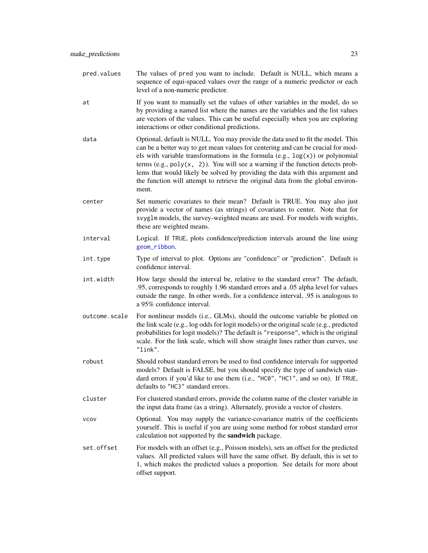- <span id="page-22-0"></span>at If you want to manually set the values of other variables in the model, do so by providing a named list where the names are the variables and the list values are vectors of the values. This can be useful especially when you are exploring interactions or other conditional predictions.
- data Optional, default is NULL. You may provide the data used to fit the model. This can be a better way to get mean values for centering and can be crucial for models with variable transformations in the formula  $(e.g., log(x))$  or polynomial terms (e.g.,  $poly(x, 2)$ ). You will see a warning if the function detects problems that would likely be solved by providing the data with this argument and the function will attempt to retrieve the original data from the global environment.
- center Set numeric covariates to their mean? Default is TRUE. You may also just provide a vector of names (as strings) of covariates to center. Note that for svyglm models, the survey-weighted means are used. For models with weights, these are weighted means.
- interval Logical. If TRUE, plots confidence/prediction intervals around the line using [geom\\_ribbon](#page-0-0).
- int.type Type of interval to plot. Options are "confidence" or "prediction". Default is confidence interval.
- int.width How large should the interval be, relative to the standard error? The default, .95, corresponds to roughly 1.96 standard errors and a .05 alpha level for values outside the range. In other words, for a confidence interval, .95 is analogous to a 95% confidence interval.
- outcome.scale For nonlinear models (i.e., GLMs), should the outcome variable be plotted on the link scale (e.g., log odds for logit models) or the original scale (e.g., predicted probabilities for logit models)? The default is "response", which is the original scale. For the link scale, which will show straight lines rather than curves, use "link".
- robust Should robust standard errors be used to find confidence intervals for supported models? Default is FALSE, but you should specify the type of sandwich standard errors if you'd like to use them (i.e., "HC0", "HC1", and so on). If TRUE, defaults to "HC3" standard errors.
- cluster For clustered standard errors, provide the column name of the cluster variable in the input data frame (as a string). Alternately, provide a vector of clusters.
- vcov Optional. You may supply the variance-covariance matrix of the coefficients yourself. This is useful if you are using some method for robust standard error calculation not supported by the sandwich package.
- set. of fset For models with an offset (e.g., Poisson models), sets an offset for the predicted values. All predicted values will have the same offset. By default, this is set to 1, which makes the predicted values a proportion. See details for more about offset support.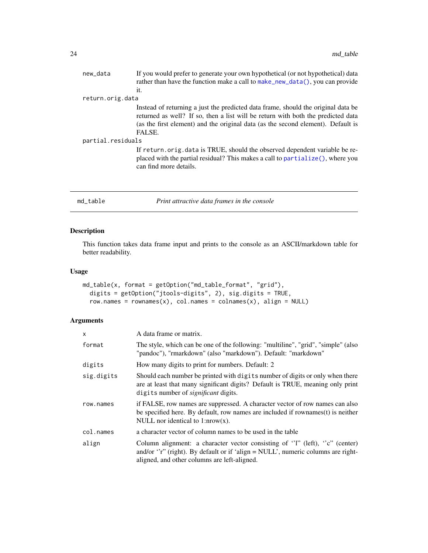<span id="page-23-0"></span>

| new_data          | If you would prefer to generate your own hypothetical (or not hypothetical) data<br>rather than have the function make a call to $make_new_data()$ , you can provide                                                                                                |  |
|-------------------|---------------------------------------------------------------------------------------------------------------------------------------------------------------------------------------------------------------------------------------------------------------------|--|
|                   | it.                                                                                                                                                                                                                                                                 |  |
| return.orig.data  |                                                                                                                                                                                                                                                                     |  |
|                   | Instead of returning a just the predicted data frame, should the original data be<br>returned as well? If so, then a list will be return with both the predicted data<br>(as the first element) and the original data (as the second element). Default is<br>FALSE. |  |
| partial.residuals |                                                                                                                                                                                                                                                                     |  |
|                   | If return orig data is TRUE, should the observed dependent variable be re-<br>placed with the partial residual? This makes a call to partialize(), where you<br>can find more details.                                                                              |  |
|                   |                                                                                                                                                                                                                                                                     |  |

#### <span id="page-23-1"></span>md\_table *Print attractive data frames in the console*

## Description

This function takes data frame input and prints to the console as an ASCII/markdown table for better readability.

## Usage

```
md_table(x, format = getOption("md_table_format", "grid"),
  digits = getOption("jtools-digits", 2), sig.digits = TRUE,
  row.names = rownames(x), col.names = colnames(x), align = NULL)
```

| $\mathsf{x}$ | A data frame or matrix.                                                                                                                                                                                                              |
|--------------|--------------------------------------------------------------------------------------------------------------------------------------------------------------------------------------------------------------------------------------|
| format       | The style, which can be one of the following: "multiline", "grid", "simple" (also<br>"pandoc"), "rmarkdown" (also "markdown"). Default: "markdown"                                                                                   |
| digits       | How many digits to print for numbers. Default: 2                                                                                                                                                                                     |
| sig.digits   | Should each number be printed with digits number of digits or only when there<br>are at least that many significant digits? Default is TRUE, meaning only print<br>digits number of <i>significant</i> digits.                       |
| row.names    | if FALSE, row names are suppressed. A character vector of row names can also<br>be specified here. By default, row names are included if rownames(t) is neither<br>NULL nor identical to $1: nrow(x)$ .                              |
| col.names    | a character vector of column names to be used in the table                                                                                                                                                                           |
| align        | Column alignment: a character vector consisting of '1" (left), ''c" (center)<br>and/or $\cdot \cdot$ r'' (right). By default or if $\cdot$ align = NULL', numeric columns are right-<br>aligned, and other columns are left-aligned. |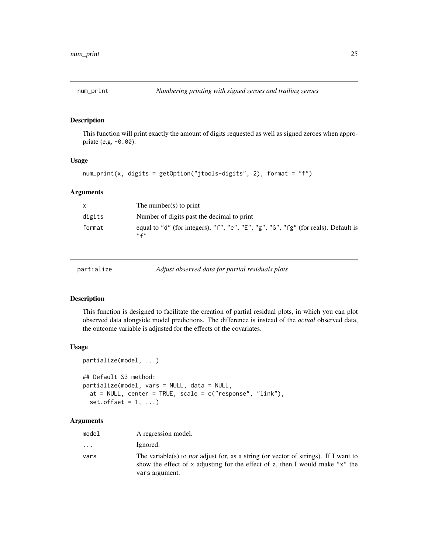<span id="page-24-0"></span>

## Description

This function will print exactly the amount of digits requested as well as signed zeroes when appropriate (e.g, -0.00).

## Usage

```
num_print(x, digits = getOption("jtools-digits", 2), format = "f")
```
## Arguments

| $\mathsf{x}$ | The number(s) to print                                                                          |
|--------------|-------------------------------------------------------------------------------------------------|
| digits       | Number of digits past the decimal to print                                                      |
| format       | equal to "d" (for integers), "f", "e", "E", "g", "G", "fg" (for reals). Default is<br>$n \in n$ |

<span id="page-24-1"></span>

partialize *Adjust observed data for partial residuals plots*

## Description

This function is designed to facilitate the creation of partial residual plots, in which you can plot observed data alongside model predictions. The difference is instead of the *actual* observed data, the outcome variable is adjusted for the effects of the covariates.

#### Usage

```
partialize(model, ...)
## Default S3 method:
partialize(model, vars = NULL, data = NULL,
 at = NULL, center = TRUE, scale = c("response", "link"),set.offset = 1, ...)
```

| model | A regression model.                                                                                                                                                                           |
|-------|-----------------------------------------------------------------------------------------------------------------------------------------------------------------------------------------------|
| .     | Ignored.                                                                                                                                                                                      |
| vars  | The variable(s) to <i>not</i> adjust for, as a string (or vector of strings). If I want to<br>show the effect of x adjusting for the effect of z, then I would make "x" the<br>vars argument. |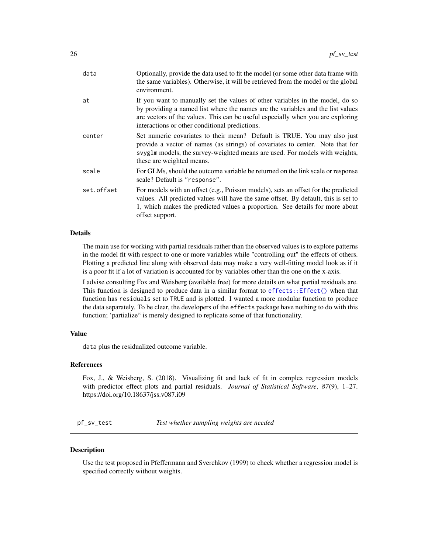<span id="page-25-0"></span>

| data       | Optionally, provide the data used to fit the model (or some other data frame with<br>the same variables). Otherwise, it will be retrieved from the model or the global<br>environment.                                                                                                                |
|------------|-------------------------------------------------------------------------------------------------------------------------------------------------------------------------------------------------------------------------------------------------------------------------------------------------------|
| at         | If you want to manually set the values of other variables in the model, do so<br>by providing a named list where the names are the variables and the list values<br>are vectors of the values. This can be useful especially when you are exploring<br>interactions or other conditional predictions. |
| center     | Set numeric covariates to their mean? Default is TRUE. You may also just<br>provide a vector of names (as strings) of covariates to center. Note that for<br>svyglm models, the survey-weighted means are used. For models with weights,<br>these are weighted means.                                 |
| scale      | For GLMs, should the outcome variable be returned on the link scale or response<br>scale? Default is "response".                                                                                                                                                                                      |
| set.offset | For models with an offset (e.g., Poisson models), sets an offset for the predicted<br>values. All predicted values will have the same offset. By default, this is set to<br>1, which makes the predicted values a proportion. See details for more about<br>offset support.                           |

## Details

The main use for working with partial residuals rather than the observed values is to explore patterns in the model fit with respect to one or more variables while "controlling out" the effects of others. Plotting a predicted line along with observed data may make a very well-fitting model look as if it is a poor fit if a lot of variation is accounted for by variables other than the one on the x-axis.

I advise consulting Fox and Weisberg (available free) for more details on what partial residuals are. This function is designed to produce data in a similar format to  $effect: : Effect()$  when that function has residuals set to TRUE and is plotted. I wanted a more modular function to produce the data separately. To be clear, the developers of the effects package have nothing to do with this function; 'partialize" is merely designed to replicate some of that functionality.

## Value

data plus the residualized outcome variable.

#### References

Fox, J., & Weisberg, S. (2018). Visualizing fit and lack of fit in complex regression models with predictor effect plots and partial residuals. *Journal of Statistical Software*, *87*(9), 1–27. https://doi.org/10.18637/jss.v087.i09

<span id="page-25-1"></span>pf\_sv\_test *Test whether sampling weights are needed*

## **Description**

Use the test proposed in Pfeffermann and Sverchkov (1999) to check whether a regression model is specified correctly without weights.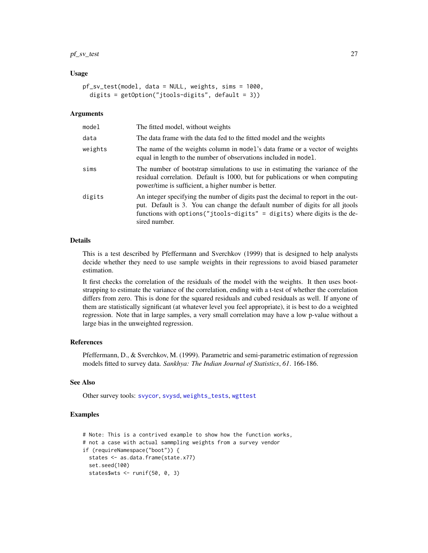## <span id="page-26-0"></span>pf\_sv\_test 27

#### Usage

```
pf_sv_test(model, data = NULL, weights, sims = 1000,
  digits = getOption("jtools-digits", default = 3))
```
## Arguments

| model   | The fitted model, without weights                                                                                                                                                                                                                                |
|---------|------------------------------------------------------------------------------------------------------------------------------------------------------------------------------------------------------------------------------------------------------------------|
| data    | The data frame with the data fed to the fitted model and the weights                                                                                                                                                                                             |
| weights | The name of the weights column in model's data frame or a vector of weights<br>equal in length to the number of observations included in model.                                                                                                                  |
| sims    | The number of bootstrap simulations to use in estimating the variance of the<br>residual correlation. Default is 1000, but for publications or when computing<br>power/time is sufficient, a higher number is better.                                            |
| digits  | An integer specifying the number of digits past the decimal to report in the out-<br>put. Default is 3. You can change the default number of digits for all jtools<br>functions with options ("jtools-digits" = digits) where digits is the de-<br>sired number. |

## Details

This is a test described by Pfeffermann and Sverchkov (1999) that is designed to help analysts decide whether they need to use sample weights in their regressions to avoid biased parameter estimation.

It first checks the correlation of the residuals of the model with the weights. It then uses bootstrapping to estimate the variance of the correlation, ending with a t-test of whether the correlation differs from zero. This is done for the squared residuals and cubed residuals as well. If anyone of them are statistically significant (at whatever level you feel appropriate), it is best to do a weighted regression. Note that in large samples, a very small correlation may have a low p-value without a large bias in the unweighted regression.

#### References

Pfeffermann, D., & Sverchkov, M. (1999). Parametric and semi-parametric estimation of regression models fitted to survey data. *Sankhya: The Indian Journal of Statistics*, *61*. 166-186.

#### See Also

Other survey tools: [svycor](#page-49-1), [svysd](#page-51-1), [weights\\_tests](#page-56-1), [wgttest](#page-57-1)

## Examples

```
# Note: This is a contrived example to show how the function works,
# not a case with actual sammpling weights from a survey vendor
if (requireNamespace("boot")) {
  states <- as.data.frame(state.x77)
  set.seed(100)
  states$wts <- runif(50, 0, 3)
```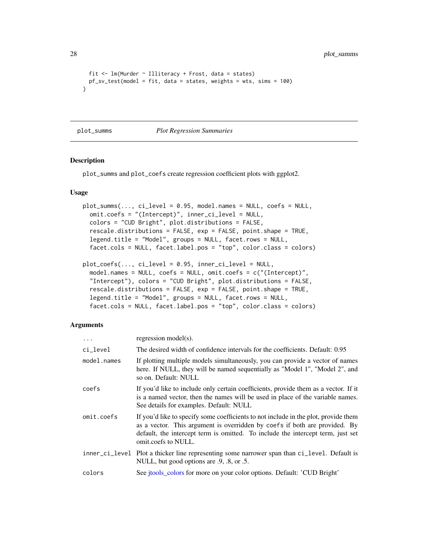<span id="page-27-0"></span>28 plot\_summs

```
fit \leq lm(Murder \sim Illiteracy + Frost, data = states)
 pf_sv_test(model = fit, data = states, weights = wts, sims = 100)
}
```
plot\_summs *Plot Regression Summaries*

## Description

plot\_summs and plot\_coefs create regression coefficient plots with ggplot2.

### Usage

```
plot\_summs(..., c i_{level} = 0.95, model.names = NULL, coefs = NULL,omit.coefs = "(Intercept)", inner_ci_level = NULL,
 colors = "CUD Bright", plot.distributions = FALSE,
  rescale.distributions = FALSE, exp = FALSE, point.shape = TRUE,
  legend.title = "Model", groups = NULL, facet.rows = NULL,
  facet.cols = NULL, facet.label.pos = "top", color.class = colors)
```

```
plot_coefs(..., ci_level = 0.95, inner_ci_level = NULL,
  model.names = NULL, coefs = NULL, omit.coefs = c("(Intercept)",
  "Intercept"), colors = "CUD Bright", plot.distributions = FALSE,
  rescale.distributions = FALSE, exp = FALSE, point.shape = TRUE,
  legend.title = "Model", groups = NULL, facet.rows = NULL,
  facet.cols = NULL, facet.label.pos = "top", color.class = colors)
```

| $\ddots$ .  | regression model(s).                                                                                                                                                                                                                                                        |
|-------------|-----------------------------------------------------------------------------------------------------------------------------------------------------------------------------------------------------------------------------------------------------------------------------|
| ci_level    | The desired width of confidence intervals for the coefficients. Default: 0.95                                                                                                                                                                                               |
| model.names | If plotting multiple models simultaneously, you can provide a vector of names<br>here. If NULL, they will be named sequentially as "Model 1", "Model 2", and<br>so on. Default: NULL                                                                                        |
| coefs       | If you'd like to include only certain coefficients, provide them as a vector. If it<br>is a named vector, then the names will be used in place of the variable names.<br>See details for examples. Default: NULL                                                            |
| omit.coefs  | If you'd like to specify some coefficients to not include in the plot, provide them<br>as a vector. This argument is overridden by coefs if both are provided. By<br>default, the intercept term is omitted. To include the intercept term, just set<br>omit.coefs to NULL. |
|             | inner_ci_level Plot a thicker line representing some narrower span than ci_level. Default is<br>NULL, but good options are .9, .8, or .5.                                                                                                                                   |
| colors      | See jtools_colors for more on your color options. Default: 'CUD Bright'                                                                                                                                                                                                     |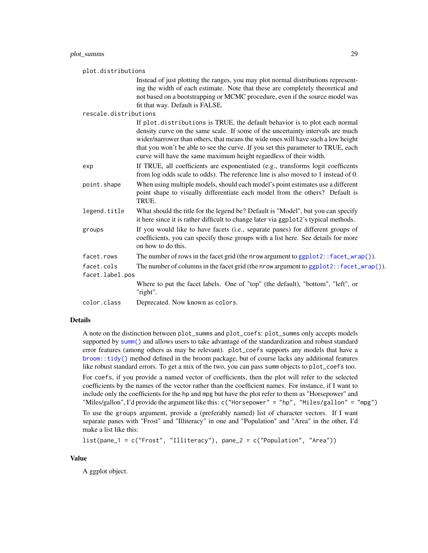<span id="page-28-0"></span>

| plot.distributions |                               |                                                                                                                                                                                                                                                                                                                                                                                                            |
|--------------------|-------------------------------|------------------------------------------------------------------------------------------------------------------------------------------------------------------------------------------------------------------------------------------------------------------------------------------------------------------------------------------------------------------------------------------------------------|
|                    |                               | Instead of just plotting the ranges, you may plot normal distributions represent-<br>ing the width of each estimate. Note that these are completely theoretical and<br>not based on a bootstrapping or MCMC procedure, even if the source model was<br>fit that way. Default is FALSE.                                                                                                                     |
|                    | rescale.distributions         |                                                                                                                                                                                                                                                                                                                                                                                                            |
|                    |                               | If plot.distributions is TRUE, the default behavior is to plot each normal<br>density curve on the same scale. If some of the uncertainty intervals are much<br>wider/narrower than others, that means the wide ones will have such a low height<br>that you won't be able to see the curve. If you set this parameter to TRUE, each<br>curve will have the same maximum height regardless of their width. |
|                    | exp                           | If TRUE, all coefficients are exponentiated (e.g., transforms logit coefficents<br>from log odds scale to odds). The reference line is also moved to 1 instead of 0.                                                                                                                                                                                                                                       |
|                    | point.shape                   | When using multiple models, should each model's point estimates use a different<br>point shape to visually differentiate each model from the others? Default is<br>TRUE.                                                                                                                                                                                                                                   |
|                    | legend.title                  | What should the title for the legend be? Default is "Model", but you can specify<br>it here since it is rather difficult to change later via ggplot2's typical methods.                                                                                                                                                                                                                                    |
|                    | groups                        | If you would like to have facets (i.e., separate panes) for different groups of<br>coefficients, you can specify those groups with a list here. See details for more<br>on how to do this.                                                                                                                                                                                                                 |
|                    | facet.rows                    | The number of rows in the facet grid (the nrow argument to ggplot2:: facet_wrap()).                                                                                                                                                                                                                                                                                                                        |
|                    | facet.cols<br>facet.label.pos | The number of columns in the facet grid (the nrow argument to ggplot2:: facet_wrap()).                                                                                                                                                                                                                                                                                                                     |
|                    |                               | Where to put the facet labels. One of "top" (the default), "bottom", "left", or<br>"right".                                                                                                                                                                                                                                                                                                                |
|                    | color.class                   | Deprecated. Now known as colors.                                                                                                                                                                                                                                                                                                                                                                           |

#### Details

A note on the distinction between plot\_summs and plot\_coefs: plot\_summs only accepts models supported by [summ\(\)](#page-34-1) and allows users to take advantage of the standardization and robust standard error features (among others as may be relevant). plot\_coefs supports any models that have a [broom::tidy\(\)](#page-0-0) method defined in the broom package, but of course lacks any additional features like robust standard errors. To get a mix of the two, you can pass summ objects to plot\_coefs too.

For coefs, if you provide a named vector of coefficients, then the plot will refer to the selected coefficients by the names of the vector rather than the coefficient names. For instance, if I want to include only the coefficients for the hp and mpg but have the plot refer to them as "Horsepower" and "Miles/gallon", I'd provide the argument like this:  $c$  ("Horsepower" = "hp", "Miles/gallon" = "mpg")

To use the groups argument, provide a (preferably named) list of character vectors. If I want separate panes with "Frost" and "Illiteracy" in one and "Population" and "Area" in the other, I'd make a list like this:

```
list(pane_1 = c("Frost", "Illiteracy"), pane_2 = c("Population", "Area"))
```
## Value

A ggplot object.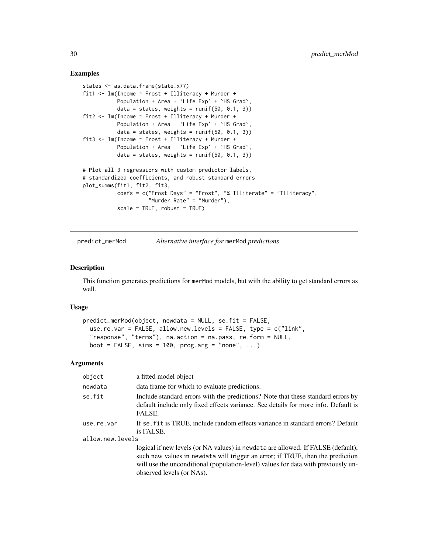## Examples

```
states <- as.data.frame(state.x77)
fit1 <- lm(Income ~ Frost + Illiteracy + Murder +
           Population + Area + `Life Exp` + `HS Grad`,
           data = states, weights = runif(50, 0.1, 3))fit2 <- lm(Income ~ Frost + Illiteracy + Murder +
           Population + Area + `Life Exp` + `HS Grad`,
           data = states, weights = runif(50, 0.1, 3))fit3 <- lm(Income ~ Frost + Illiteracy + Murder +
           Population + Area + `Life Exp` + `HS Grad`,
           data = states, weights = runif(50, 0.1, 3))# Plot all 3 regressions with custom predictor labels,
# standardized coefficients, and robust standard errors
plot_summs(fit1, fit2, fit3,
           coefs = c("Frost Days" = "Frost", "% Illiterate" = "Illiteracy",
                     "Murder Rate" = "Murder"),
           scale = TRUE, robust = TRUE)
```
predict\_merMod *Alternative interface for* merMod *predictions*

#### Description

This function generates predictions for merMod models, but with the ability to get standard errors as well.

#### Usage

```
predict_merMod(object, newdata = NULL, se.fit = FALSE,
  use.re.var = FALSE, allow.new.levels = FALSE, type = c("link",
  "response", "terms"), na.action = na.pass, re.form = NULL,
 boot = FALSE, sims = 100, prog.arg = "none", ...)
```

| object                         | a fitted model object                                                                                                                                                                                                                                                                |
|--------------------------------|--------------------------------------------------------------------------------------------------------------------------------------------------------------------------------------------------------------------------------------------------------------------------------------|
| newdata                        | data frame for which to evaluate predictions.                                                                                                                                                                                                                                        |
| se.fit                         | Include standard errors with the predictions? Note that these standard errors by<br>default include only fixed effects variance. See details for more info. Default is<br>FALSE.                                                                                                     |
| use.re.var<br>allow.new.levels | If se, fit is TRUE, include random effects variance in standard errors? Default<br>is FALSE.                                                                                                                                                                                         |
|                                | logical if new levels (or NA values) in newdata are allowed. If FALSE (default),<br>such new values in newdata will trigger an error; if TRUE, then the prediction<br>will use the unconditional (population-level) values for data with previously un-<br>observed levels (or NAs). |

<span id="page-29-0"></span>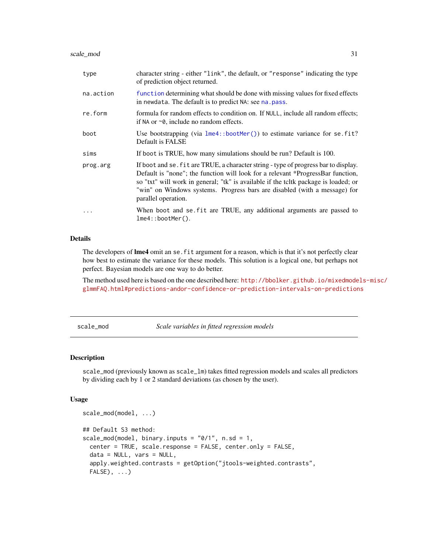<span id="page-30-0"></span>

| type      | character string - either "link", the default, or "response" indicating the type<br>of prediction object returned.                                                                                                                                                                                                                                                |
|-----------|-------------------------------------------------------------------------------------------------------------------------------------------------------------------------------------------------------------------------------------------------------------------------------------------------------------------------------------------------------------------|
| na.action | function determining what should be done with missing values for fixed effects<br>in newdata. The default is to predict NA: see na. pass.                                                                                                                                                                                                                         |
| re.form   | formula for random effects to condition on. If NULL, include all random effects;<br>if NA or $\sim$ 0, include no random effects.                                                                                                                                                                                                                                 |
| boot      | Use bootstrapping (via $l$ me4::bootMer()) to estimate variance for se.fit?<br>Default is FALSE                                                                                                                                                                                                                                                                   |
| sims      | If boot is TRUE, how many simulations should be run? Default is 100.                                                                                                                                                                                                                                                                                              |
| prog.arg  | If boot and se. fit are TRUE, a character string - type of progress bar to display.<br>Default is "none"; the function will look for a relevant *ProgressBar function,<br>so "txt" will work in general; "tk" is available if the teltk package is loaded; or<br>"win" on Windows systems. Progress bars are disabled (with a message) for<br>parallel operation. |
| $\cdots$  | When boot and se fit are TRUE, any additional arguments are passed to<br>$lme4::bootMer()$ .                                                                                                                                                                                                                                                                      |

## Details

The developers of **lme4** omit an se. fit argument for a reason, which is that it's not perfectly clear how best to estimate the variance for these models. This solution is a logical one, but perhaps not perfect. Bayesian models are one way to do better.

The method used here is based on the one described here: [http://bbolker.github.io/mixedmode](http://bbolker.github.io/mixedmodels-misc/glmmFAQ.html#predictions-andor-confidence-or-prediction-intervals-on-predictions)ls-misc/ [glmmFAQ.html#predictions-andor-confidence-or-prediction-intervals-on-predictions](http://bbolker.github.io/mixedmodels-misc/glmmFAQ.html#predictions-andor-confidence-or-prediction-intervals-on-predictions)

<span id="page-30-1"></span>scale\_mod *Scale variables in fitted regression models*

## Description

scale\_mod (previously known as scale\_lm) takes fitted regression models and scales all predictors by dividing each by 1 or 2 standard deviations (as chosen by the user).

#### Usage

```
scale_mod(model, ...)
## Default S3 method:
scale_mod(model, binary.inputs = "0/1", n sd = 1,center = TRUE, scale.response = FALSE, center.only = FALSE,
  data = NULL, vars = NULL,apply.weighted.contrasts = getOption("jtools-weighted.contrasts",
  FALSE), \ldots)
```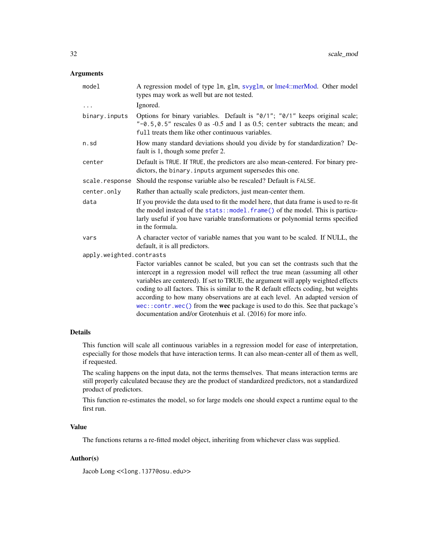## <span id="page-31-0"></span>Arguments

| model                    | A regression model of type 1m, g1m, svyg1m, or lme4::merMod. Other model<br>types may work as well but are not tested.                                                                                                                                                                                                                                                                                                                                                                                                                                                      |  |
|--------------------------|-----------------------------------------------------------------------------------------------------------------------------------------------------------------------------------------------------------------------------------------------------------------------------------------------------------------------------------------------------------------------------------------------------------------------------------------------------------------------------------------------------------------------------------------------------------------------------|--|
| $\cdots$                 | Ignored.                                                                                                                                                                                                                                                                                                                                                                                                                                                                                                                                                                    |  |
| binary.inputs            | Options for binary variables. Default is "0/1"; "0/1" keeps original scale;<br>" $-0.5, 0.5$ " rescales 0 as $-0.5$ and 1 as 0.5; center subtracts the mean; and<br>full treats them like other continuous variables.                                                                                                                                                                                                                                                                                                                                                       |  |
| n.sd                     | How many standard deviations should you divide by for standardization? De-<br>fault is 1, though some prefer 2.                                                                                                                                                                                                                                                                                                                                                                                                                                                             |  |
| center                   | Default is TRUE. If TRUE, the predictors are also mean-centered. For binary pre-<br>dictors, the binary. inputs argument supersedes this one.                                                                                                                                                                                                                                                                                                                                                                                                                               |  |
| scale.response           | Should the response variable also be rescaled? Default is FALSE.                                                                                                                                                                                                                                                                                                                                                                                                                                                                                                            |  |
| center.only              | Rather than actually scale predictors, just mean-center them.                                                                                                                                                                                                                                                                                                                                                                                                                                                                                                               |  |
| data                     | If you provide the data used to fit the model here, that data frame is used to re-fit<br>the model instead of the stats::model.frame() of the model. This is particu-<br>larly useful if you have variable transformations or polynomial terms specified<br>in the formula.                                                                                                                                                                                                                                                                                                 |  |
| vars                     | A character vector of variable names that you want to be scaled. If NULL, the<br>default, it is all predictors.                                                                                                                                                                                                                                                                                                                                                                                                                                                             |  |
| apply.weighted.contrasts |                                                                                                                                                                                                                                                                                                                                                                                                                                                                                                                                                                             |  |
|                          | Factor variables cannot be scaled, but you can set the contrasts such that the<br>intercept in a regression model will reflect the true mean (assuming all other<br>variables are centered). If set to TRUE, the argument will apply weighted effects<br>coding to all factors. This is similar to the R default effects coding, but weights<br>according to how many observations are at each level. An adapted version of<br>wec::contr.wec() from the wec package is used to do this. See that package's<br>documentation and/or Grotenhuis et al. (2016) for more info. |  |
|                          |                                                                                                                                                                                                                                                                                                                                                                                                                                                                                                                                                                             |  |

## Details

This function will scale all continuous variables in a regression model for ease of interpretation, especially for those models that have interaction terms. It can also mean-center all of them as well, if requested.

The scaling happens on the input data, not the terms themselves. That means interaction terms are still properly calculated because they are the product of standardized predictors, not a standardized product of predictors.

This function re-estimates the model, so for large models one should expect a runtime equal to the first run.

## Value

The functions returns a re-fitted model object, inheriting from whichever class was supplied.

## Author(s)

Jacob Long << long.1377@osu.edu>>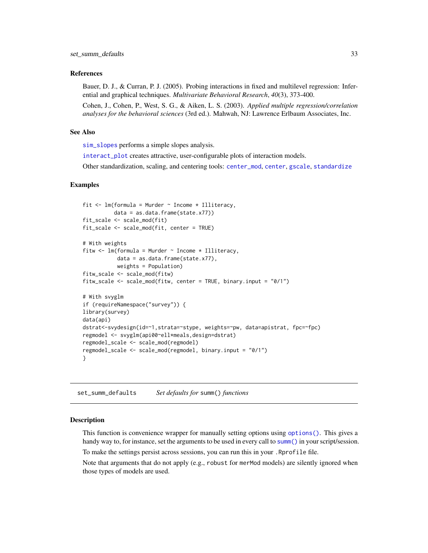#### <span id="page-32-0"></span>References

Bauer, D. J., & Curran, P. J. (2005). Probing interactions in fixed and multilevel regression: Inferential and graphical techniques. *Multivariate Behavioral Research*, *40*(3), 373-400.

Cohen, J., Cohen, P., West, S. G., & Aiken, L. S. (2003). *Applied multiple regression/correlation analyses for the behavioral sciences* (3rd ed.). Mahwah, NJ: Lawrence Erlbaum Associates, Inc.

#### See Also

[sim\\_slopes](#page-18-1) performs a simple slopes analysis.

[interact\\_plot](#page-18-2) creates attractive, user-configurable plots of interaction models.

Other standardization, scaling, and centering tools: [center\\_mod](#page-3-1), [center](#page-2-1), [gscale](#page-15-1), [standardize](#page-33-1)

#### Examples

```
fit \leq lm(formula = Murder \sim Income * Illiteracy,
         data = as.data.frame(state.x77))
fit_scale <- scale_mod(fit)
fit_scale <- scale_mod(fit, center = TRUE)
# With weights
fitw \leq lm(formula = Murder \sim Income \star Illiteracy,
           data = as.data.frame(state.x77),
           weights = Population)
fitw_scale <- scale_mod(fitw)
fitw_scale <- scale_mod(fitw, center = TRUE, binary.input = "0/1")
# With svyglm
if (requireNamespace("survey")) {
library(survey)
data(api)
dstrat<-svydesign(id=~1,strata=~stype, weights=~pw, data=apistrat, fpc=~fpc)
regmodel <- svyglm(api00~ell*meals,design=dstrat)
regmodel_scale <- scale_mod(regmodel)
regmodel_scale <- scale_mod(regmodel, binary.input = "0/1")
}
```
set\_summ\_defaults *Set defaults for* summ() *functions*

#### **Description**

This function is convenience wrapper for manually setting options using [options\(\)](#page-0-0). This gives a handy way to, for instance, set the arguments to be used in every call to [summ\(\)](#page-34-1) in your script/session.

To make the settings persist across sessions, you can run this in your .Rprofile file.

Note that arguments that do not apply (e.g., robust for merMod models) are silently ignored when those types of models are used.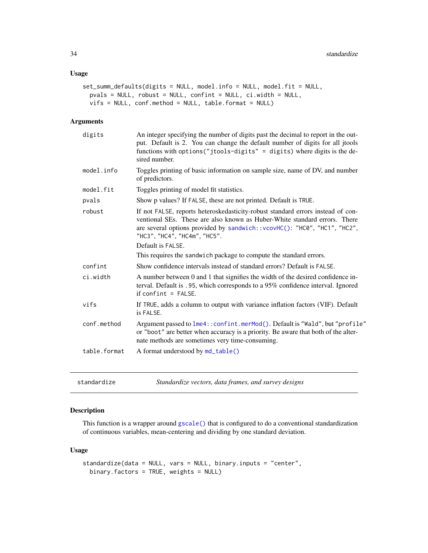## <span id="page-33-0"></span>Usage

```
set_summ_defaults(digits = NULL, model.info = NULL, model.fit = NULL,
 pvals = NULL, robust = NULL, confint = NULL, ci.width = NULL,
 vifs = NULL, conf.method = NULL, table.format = NULL)
```
#### Arguments

| digits       | An integer specifying the number of digits past the decimal to report in the out-<br>put. Default is 2. You can change the default number of digits for all jtools<br>functions with options ("jtools-digits" = digits) where digits is the de-<br>sired number.                               |
|--------------|------------------------------------------------------------------------------------------------------------------------------------------------------------------------------------------------------------------------------------------------------------------------------------------------|
| model.info   | Toggles printing of basic information on sample size, name of DV, and number<br>of predictors.                                                                                                                                                                                                 |
| model.fit    | Toggles printing of model fit statistics.                                                                                                                                                                                                                                                      |
| pvals        | Show p values? If FALSE, these are not printed. Default is TRUE.                                                                                                                                                                                                                               |
| robust       | If not FALSE, reports heteroskedasticity-robust standard errors instead of con-<br>ventional SEs. These are also known as Huber-White standard errors. There<br>are several options provided by sandwich:: vcovHC(): "HC0", "HC1", "HC2",<br>"HC3", "HC4", "HC4m", "HC5".<br>Default is FALSE. |
|              |                                                                                                                                                                                                                                                                                                |
|              | This requires the sandwich package to compute the standard errors.                                                                                                                                                                                                                             |
| confint      | Show confidence intervals instead of standard errors? Default is FALSE.                                                                                                                                                                                                                        |
| ci.width     | A number between 0 and 1 that signifies the width of the desired confidence in-<br>terval. Default is .95, which corresponds to a 95% confidence interval. Ignored<br>$if conflict = FALSE.$                                                                                                   |
| vifs         | If TRUE, adds a column to output with variance inflation factors (VIF). Default<br>is FALSE.                                                                                                                                                                                                   |
| conf.method  | Argument passed to lme4:: confint.merMod(). Default is "Wald", but "profile"<br>or "boot" are better when accuracy is a priority. Be aware that both of the alter-<br>nate methods are sometimes very time-consuming.                                                                          |
| table.format | A format understood by md_table()                                                                                                                                                                                                                                                              |
|              |                                                                                                                                                                                                                                                                                                |

<span id="page-33-1"></span>standardize *Standardize vectors, data frames, and survey designs*

## Description

This function is a wrapper around [gscale\(\)](#page-15-1) that is configured to do a conventional standardization of continuous variables, mean-centering and dividing by one standard deviation.

## Usage

```
standardize(data = NULL, vars = NULL, binary.inputs = "center",
 binary.factors = TRUE, weights = NULL)
```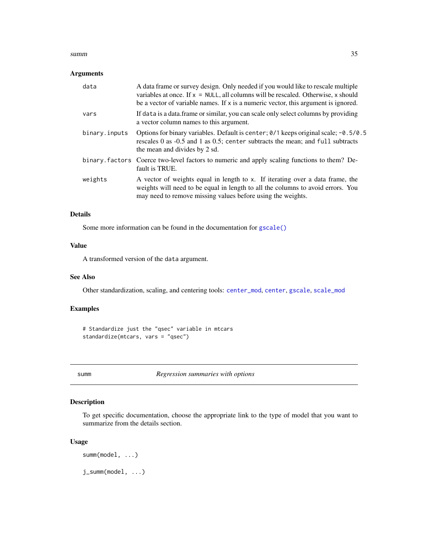#### <span id="page-34-0"></span> $summ$  35

#### Arguments

| data          | A data frame or survey design. Only needed if you would like to rescale multiple<br>variables at once. If $x = NULL$ , all columns will be rescaled. Otherwise, x should<br>be a vector of variable names. If $x$ is a numeric vector, this argument is ignored. |
|---------------|------------------------------------------------------------------------------------------------------------------------------------------------------------------------------------------------------------------------------------------------------------------|
| vars          | If data is a data. frame or similar, you can scale only select columns by providing<br>a vector column names to this argument.                                                                                                                                   |
| binary.inputs | Options for binary variables. Default is center; $\theta/1$ keeps original scale; -0.5/0.5<br>rescales 0 as -0.5 and 1 as 0.5; center subtracts the mean; and full subtracts<br>the mean and divides by 2 sd.                                                    |
|               | binary. factors Coerce two-level factors to numeric and apply scaling functions to them? De-<br>fault is TRUE.                                                                                                                                                   |
| weights       | A vector of weights equal in length to x. If iterating over a data frame, the<br>weights will need to be equal in length to all the columns to avoid errors. You<br>may need to remove missing values before using the weights.                                  |

## Details

Some more information can be found in the documentation for [gscale\(\)](#page-15-1)

## Value

A transformed version of the data argument.

## See Also

Other standardization, scaling, and centering tools: [center\\_mod](#page-3-1), [center](#page-2-1), [gscale](#page-15-1), [scale\\_mod](#page-30-1)

## Examples

```
# Standardize just the "qsec" variable in mtcars
standardize(mtcars, vars = "qsec")
```
<span id="page-34-1"></span>summ *Regression summaries with options*

## <span id="page-34-2"></span>Description

To get specific documentation, choose the appropriate link to the type of model that you want to summarize from the details section.

## Usage

```
summ(model, ...)
j_summ(model, ...)
```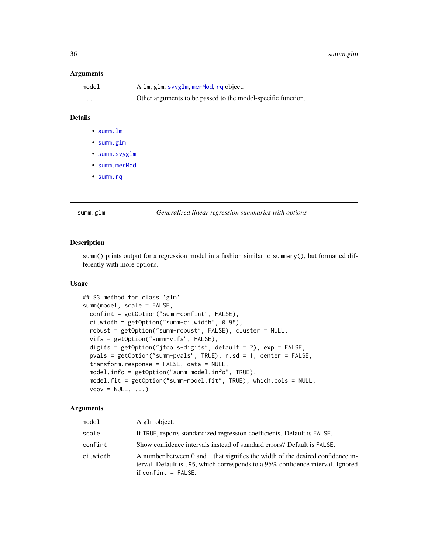#### <span id="page-35-0"></span>Arguments

| model    | A 1m, g1m, svyg1m, merMod, rq object.                        |
|----------|--------------------------------------------------------------|
| $\cdots$ | Other arguments to be passed to the model-specific function. |

## Details

- [summ.lm](#page-38-1)
- [summ.glm](#page-35-1)
- [summ.svyglm](#page-47-1)
- [summ.merMod](#page-41-1)
- [summ.rq](#page-45-1)

#### <span id="page-35-1"></span>summ.glm *Generalized linear regression summaries with options*

## Description

summ() prints output for a regression model in a fashion similar to summary(), but formatted differently with more options.

#### Usage

```
## S3 method for class 'glm'
summ(model, scale = FALSE,
 confint = getOption("summ-confint", FALSE),
 ci.width = getOption("summ-ci.width", 0.95),
  robust = getOption("summ-robust", FALSE), cluster = NULL,
 vifs = getOption("summ-vifs", FALSE),
 digits = getOption("jtools-digits", default = 2), exp = FALSE,
 pvals = getOption("summ-pvals", TRUE), n.sd = 1, center = FALSE,
  transform.response = FALSE, data = NULL,
 model.info = getOption("summ-model.info", TRUE),
 model.fit = getOption("summ-model.fit", TRUE), which.cols = NULL,
 vcov = NULL, ...
```

| model    | A glm object.                                                                                                                                                                               |
|----------|---------------------------------------------------------------------------------------------------------------------------------------------------------------------------------------------|
| scale    | If TRUE, reports standardized regression coefficients. Default is FALSE.                                                                                                                    |
| confint  | Show confidence intervals instead of standard errors? Default is FALSE.                                                                                                                     |
| ci.width | A number between 0 and 1 that signifies the width of the desired confidence in-<br>terval. Default is .95, which corresponds to a 95% confidence interval. Ignored<br>if confint $=$ FALSE. |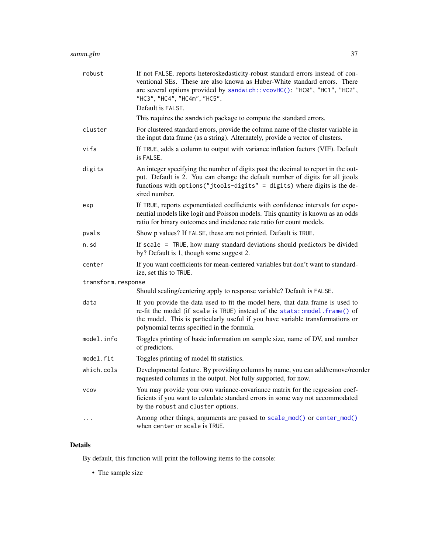<span id="page-36-0"></span>

| robust             | If not FALSE, reports heteroskedasticity-robust standard errors instead of con-<br>ventional SEs. These are also known as Huber-White standard errors. There<br>are several options provided by sandwich:: vcovHC(): "HC0", "HC1", "HC2",<br>"HC3", "HC4", "HC4m", "HC5".                    |
|--------------------|----------------------------------------------------------------------------------------------------------------------------------------------------------------------------------------------------------------------------------------------------------------------------------------------|
|                    | Default is FALSE.                                                                                                                                                                                                                                                                            |
|                    | This requires the sandwich package to compute the standard errors.                                                                                                                                                                                                                           |
| cluster            | For clustered standard errors, provide the column name of the cluster variable in<br>the input data frame (as a string). Alternately, provide a vector of clusters.                                                                                                                          |
| vifs               | If TRUE, adds a column to output with variance inflation factors (VIF). Default<br>is FALSE.                                                                                                                                                                                                 |
| digits             | An integer specifying the number of digits past the decimal to report in the out-<br>put. Default is 2. You can change the default number of digits for all jtools<br>functions with options ("jtools-digits" = digits) where digits is the de-<br>sired number.                             |
| exp                | If TRUE, reports exponentiated coefficients with confidence intervals for expo-<br>nential models like logit and Poisson models. This quantity is known as an odds<br>ratio for binary outcomes and incidence rate ratio for count models.                                                   |
| pvals              | Show p values? If FALSE, these are not printed. Default is TRUE.                                                                                                                                                                                                                             |
| n.sd               | If scale = TRUE, how many standard deviations should predictors be divided<br>by? Default is 1, though some suggest 2.                                                                                                                                                                       |
| center             | If you want coefficients for mean-centered variables but don't want to standard-<br>ize, set this to TRUE.                                                                                                                                                                                   |
| transform.response |                                                                                                                                                                                                                                                                                              |
|                    | Should scaling/centering apply to response variable? Default is FALSE.                                                                                                                                                                                                                       |
| data               | If you provide the data used to fit the model here, that data frame is used to<br>re-fit the model (if scale is TRUE) instead of the stats::model.frame() of<br>the model. This is particularly useful if you have variable transformations or<br>polynomial terms specified in the formula. |
| model.info         | Toggles printing of basic information on sample size, name of DV, and number<br>of predictors.                                                                                                                                                                                               |
| model.fit          | Toggles printing of model fit statistics.                                                                                                                                                                                                                                                    |
| which.cols         | Developmental feature. By providing columns by name, you can add/remove/reorder<br>requested columns in the output. Not fully supported, for now.                                                                                                                                            |
| <b>VCOV</b>        | You may provide your own variance-covariance matrix for the regression coef-<br>ficients if you want to calculate standard errors in some way not accommodated<br>by the robust and cluster options.                                                                                         |
| $\ddots$           | Among other things, arguments are passed to scale_mod() or center_mod()<br>when center or scale is TRUE.                                                                                                                                                                                     |

## Details

By default, this function will print the following items to the console:

• The sample size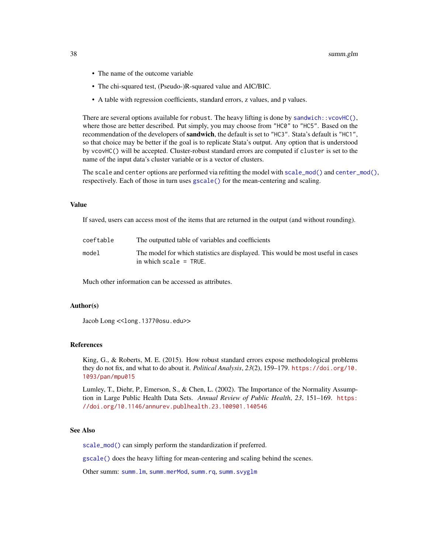- <span id="page-37-0"></span>• The name of the outcome variable
- The chi-squared test, (Pseudo-)R-squared value and AIC/BIC.
- A table with regression coefficients, standard errors, z values, and p values.

There are several options available for robust. The heavy lifting is done by sandwich:: $vcovHC()$ , where those are better described. Put simply, you may choose from "HC0" to "HC5". Based on the recommendation of the developers of sandwich, the default is set to "HC3". Stata's default is "HC1", so that choice may be better if the goal is to replicate Stata's output. Any option that is understood by vcovHC() will be accepted. Cluster-robust standard errors are computed if cluster is set to the name of the input data's cluster variable or is a vector of clusters.

The scale and center options are performed via refitting the model with  $scale\_mod()$  and  $center\_mod(),$ respectively. Each of those in turn uses [gscale\(\)](#page-15-1) for the mean-centering and scaling.

#### Value

If saved, users can access most of the items that are returned in the output (and without rounding).

| coeftable | The outputted table of variables and coefficients                                                            |
|-----------|--------------------------------------------------------------------------------------------------------------|
| model     | The model for which statistics are displayed. This would be most useful in cases<br>in which scale $=$ TRUE. |

Much other information can be accessed as attributes.

#### Author(s)

Jacob Long << long.1377@osu.edu>>

## References

King, G., & Roberts, M. E. (2015). How robust standard errors expose methodological problems they do not fix, and what to do about it. *Political Analysis*, *23*(2), 159–179. [https://doi.org/10.](https://doi.org/10.1093/pan/mpu015) [1093/pan/mpu015](https://doi.org/10.1093/pan/mpu015)

Lumley, T., Diehr, P., Emerson, S., & Chen, L. (2002). The Importance of the Normality Assumption in Large Public Health Data Sets. *Annual Review of Public Health*, *23*, 151–169. [https:](https://doi.org/10.1146/annurev.publhealth.23.100901.140546) [//doi.org/10.1146/annurev.publhealth.23.100901.140546](https://doi.org/10.1146/annurev.publhealth.23.100901.140546)

#### See Also

[scale\\_mod\(\)](#page-30-1) can simply perform the standardization if preferred.

[gscale\(\)](#page-15-1) does the heavy lifting for mean-centering and scaling behind the scenes.

Other summ: [summ.lm](#page-38-1), [summ.merMod](#page-41-1), [summ.rq](#page-45-1), [summ.svyglm](#page-47-1)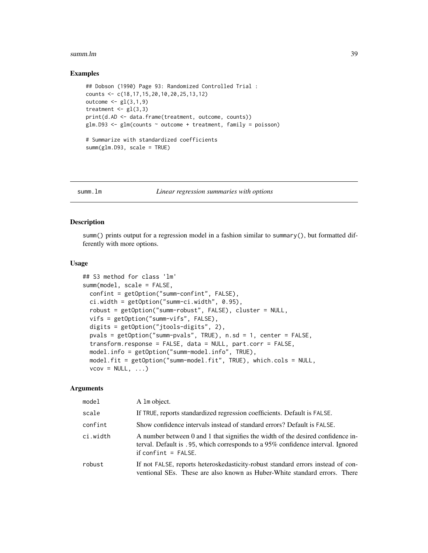#### <span id="page-38-0"></span>summ.lm 39

#### Examples

```
## Dobson (1990) Page 93: Randomized Controlled Trial :
counts <- c(18,17,15,20,10,20,25,13,12)
outcome \leq gl(3,1,9)
treatment \leq gl(3,3)
print(d.AD <- data.frame(treatment, outcome, counts))
glm.D93 <- glm(counts ~ outcome + treatment, family = poisson)
# Summarize with standardized coefficients
summ(glm.D93, scale = TRUE)
```
<span id="page-38-1"></span>

#### summ.lm *Linear regression summaries with options*

#### Description

summ() prints output for a regression model in a fashion similar to summary(), but formatted differently with more options.

#### Usage

```
## S3 method for class 'lm'
summ(model, scale = FALSE,
 confint = getOption("summ-confint", FALSE),
 ci.width = getOption("summ-ci.width", 0.95),
 robust = getOption("summ-robust", FALSE), cluster = NULL,
 vifs = getOption("summ-vifs", FALSE),
 digits = getOption("jtools-digits", 2),
 pvals = getOption("summ-pvals", TRUE), n.sd = 1, center = FALSE,
  transform.response = FALSE, data = NULL, part.corr = FALSE,
 model.info = getOption("summ-model.info", TRUE),
 model.fit = getOption("summ-model.fit", TRUE), which.cols = NULL,
  vcov = NULL, ...
```

| model    | A 1m object.                                                                                                                                                                                |
|----------|---------------------------------------------------------------------------------------------------------------------------------------------------------------------------------------------|
| scale    | If TRUE, reports standardized regression coefficients. Default is FALSE.                                                                                                                    |
| confint  | Show confidence intervals instead of standard errors? Default is FALSE.                                                                                                                     |
| ci.width | A number between 0 and 1 that signifies the width of the desired confidence in-<br>terval. Default is .95, which corresponds to a 95% confidence interval. Ignored<br>if confint $=$ FALSE. |
| robust   | If not FALSE, reports heteroskedasticity-robust standard errors instead of con-<br>ventional SEs. These are also known as Huber-White standard errors. There                                |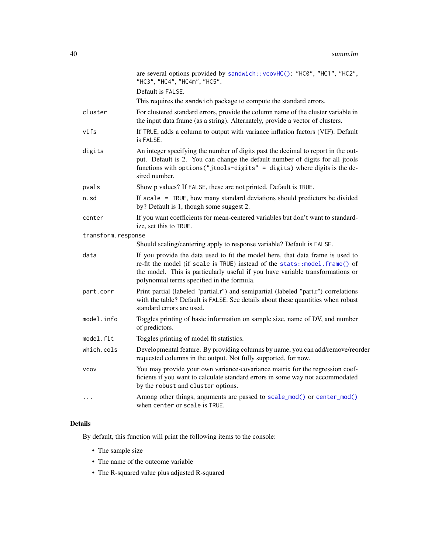<span id="page-39-0"></span>

|                    | are several options provided by sandwich:: vcovHC(): "HC0", "HC1", "HC2",<br>"HC3", "HC4", "HC4m", "HC5".                                                                                                                                                                                     |
|--------------------|-----------------------------------------------------------------------------------------------------------------------------------------------------------------------------------------------------------------------------------------------------------------------------------------------|
|                    | Default is FALSE.                                                                                                                                                                                                                                                                             |
|                    | This requires the sandwich package to compute the standard errors.                                                                                                                                                                                                                            |
| cluster            | For clustered standard errors, provide the column name of the cluster variable in<br>the input data frame (as a string). Alternately, provide a vector of clusters.                                                                                                                           |
| vifs               | If TRUE, adds a column to output with variance inflation factors (VIF). Default<br>is FALSE.                                                                                                                                                                                                  |
| digits             | An integer specifying the number of digits past the decimal to report in the out-<br>put. Default is 2. You can change the default number of digits for all jtools<br>functions with options("jtools-digits" = digits) where digits is the de-<br>sired number.                               |
| pvals              | Show p values? If FALSE, these are not printed. Default is TRUE.                                                                                                                                                                                                                              |
| n.sd               | If scale $=$ TRUE, how many standard deviations should predictors be divided<br>by? Default is 1, though some suggest 2.                                                                                                                                                                      |
| center             | If you want coefficients for mean-centered variables but don't want to standard-<br>ize, set this to TRUE.                                                                                                                                                                                    |
| transform.response |                                                                                                                                                                                                                                                                                               |
|                    | Should scaling/centering apply to response variable? Default is FALSE.                                                                                                                                                                                                                        |
| data               | If you provide the data used to fit the model here, that data frame is used to<br>re-fit the model (if scale is TRUE) instead of the stats:: model.frame() of<br>the model. This is particularly useful if you have variable transformations or<br>polynomial terms specified in the formula. |
| part.corr          | Print partial (labeled "partial.r") and semipartial (labeled "part.r") correlations<br>with the table? Default is FALSE. See details about these quantities when robust<br>standard errors are used.                                                                                          |
| model.info         | Toggles printing of basic information on sample size, name of DV, and number<br>of predictors.                                                                                                                                                                                                |
| model.fit          | Toggles printing of model fit statistics.                                                                                                                                                                                                                                                     |
| which.cols         | Developmental feature. By providing columns by name, you can add/remove/reorder<br>requested columns in the output. Not fully supported, for now.                                                                                                                                             |
| <b>VCOV</b>        | You may provide your own variance-covariance matrix for the regression coef-<br>ficients if you want to calculate standard errors in some way not accommodated<br>by the robust and cluster options.                                                                                          |
| $\cdots$           | Among other things, arguments are passed to scale_mod() or center_mod()<br>when center or scale is TRUE.                                                                                                                                                                                      |

## Details

By default, this function will print the following items to the console:

- The sample size
- The name of the outcome variable
- The R-squared value plus adjusted R-squared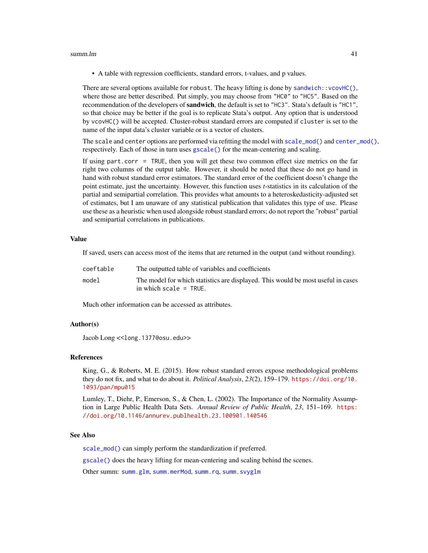#### <span id="page-40-0"></span> $summ.lm$   $41$

• A table with regression coefficients, standard errors, t-values, and p values.

There are several options available for robust. The heavy lifting is done by sandwich:: $vcovHC()$ , where those are better described. Put simply, you may choose from "HC0" to "HC5". Based on the recommendation of the developers of **sandwich**, the default is set to "HC3". Stata's default is "HC1", so that choice may be better if the goal is to replicate Stata's output. Any option that is understood by vcovHC() will be accepted. Cluster-robust standard errors are computed if cluster is set to the name of the input data's cluster variable or is a vector of clusters.

The scale and center options are performed via refitting the model with  $scale\_mod()$  and  $center\_mod()$ , respectively. Each of those in turn uses [gscale\(\)](#page-15-1) for the mean-centering and scaling.

If using part.corr = TRUE, then you will get these two common effect size metrics on the far right two columns of the output table. However, it should be noted that these do not go hand in hand with robust standard error estimators. The standard error of the coefficient doesn't change the point estimate, just the uncertainty. However, this function uses *t*-statistics in its calculation of the partial and semipartial correlation. This provides what amounts to a heteroskedasticity-adjusted set of estimates, but I am unaware of any statistical publication that validates this type of use. Please use these as a heuristic when used alongside robust standard errors; do not report the "robust" partial and semipartial correlations in publications.

#### Value

If saved, users can access most of the items that are returned in the output (and without rounding).

| coeftable | The outputted table of variables and coefficients                                                            |
|-----------|--------------------------------------------------------------------------------------------------------------|
| model     | The model for which statistics are displayed. This would be most useful in cases<br>in which scale $=$ TRUE. |

Much other information can be accessed as attributes.

#### Author(s)

Jacob Long << long.1377@osu.edu>>

#### References

King, G., & Roberts, M. E. (2015). How robust standard errors expose methodological problems they do not fix, and what to do about it. *Political Analysis*, *23*(2), 159–179. [https://doi.org/10.](https://doi.org/10.1093/pan/mpu015) [1093/pan/mpu015](https://doi.org/10.1093/pan/mpu015)

Lumley, T., Diehr, P., Emerson, S., & Chen, L. (2002). The Importance of the Normality Assumption in Large Public Health Data Sets. *Annual Review of Public Health*, *23*, 151–169. [https:](https://doi.org/10.1146/annurev.publhealth.23.100901.140546) [//doi.org/10.1146/annurev.publhealth.23.100901.140546](https://doi.org/10.1146/annurev.publhealth.23.100901.140546)

#### See Also

[scale\\_mod\(\)](#page-30-1) can simply perform the standardization if preferred.

[gscale\(\)](#page-15-1) does the heavy lifting for mean-centering and scaling behind the scenes.

Other summ: [summ.glm](#page-35-1), [summ.merMod](#page-41-1), [summ.rq](#page-45-1), [summ.svyglm](#page-47-1)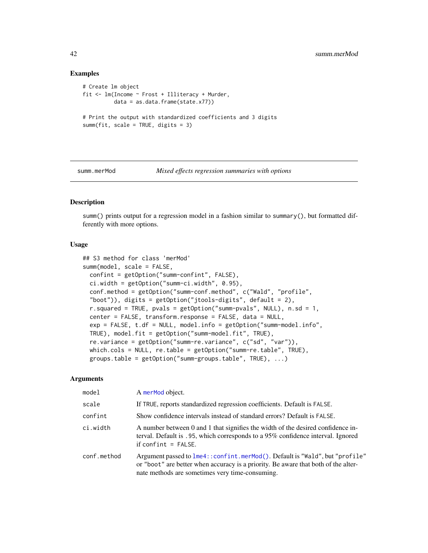#### Examples

```
# Create lm object
fit <- lm(Income ~ Frost + Illiteracy + Murder,
         data = as.data.frame(state.x77))
# Print the output with standardized coefficients and 3 digits
summ(fit, scale = TRUE, digits = 3)
```
<span id="page-41-1"></span>summ.merMod *Mixed effects regression summaries with options*

## Description

summ() prints output for a regression model in a fashion similar to summary(), but formatted differently with more options.

## Usage

```
## S3 method for class 'merMod'
summ(model, scale = FALSE,
 confint = getOption("summ-confint", FALSE),
 ci.width = getOption("summ-ci.width", 0.95),
  conf.method = getOption("summ-conf.method", c("Wald", "profile",
  "boot")), digits = getOption("jtools-digits", default = 2),
  r.squared = TRUE, pvals = getOption("summ-pvals", NULL), n.sd = 1,
  center = FALSE, transform.response = FALSE, data = NULL,
  exp = FALSE, t.df = NULL, model.info = getOption("summ-model.info",
 TRUE), model.fit = getOption("summ-model.fit", TRUE),
  re.variance = getOption("summ-re.variance", c("sd", "var")),
 which.cols = NULL, re.table = getOption("summ-re.table", TRUE),
  groups.table = getOption("summ-groups.table", TRUE), ...)
```

| model       | A merMod object.                                                                                                                                                                                                      |
|-------------|-----------------------------------------------------------------------------------------------------------------------------------------------------------------------------------------------------------------------|
| scale       | If TRUE, reports standardized regression coefficients. Default is FALSE.                                                                                                                                              |
| confint     | Show confidence intervals instead of standard errors? Default is FALSE.                                                                                                                                               |
| ci.width    | A number between 0 and 1 that signifies the width of the desired confidence in-<br>terval. Default is .95, which corresponds to a 95% confidence interval. Ignored<br>$if conflict = FALSE.$                          |
| conf.method | Argument passed to lme4:: confint.merMod(). Default is "Wald", but "profile"<br>or "boot" are better when accuracy is a priority. Be aware that both of the alter-<br>nate methods are sometimes very time-consuming. |

<span id="page-41-0"></span>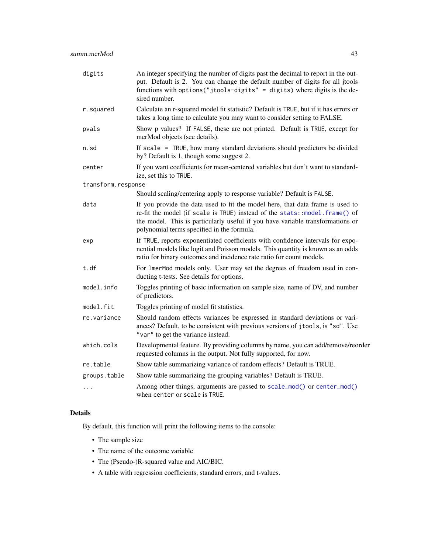<span id="page-42-0"></span>

| digits             | An integer specifying the number of digits past the decimal to report in the out-<br>put. Default is 2. You can change the default number of digits for all jtools<br>functions with options("jtools-digits" = digits) where digits is the de-<br>sired number.                              |
|--------------------|----------------------------------------------------------------------------------------------------------------------------------------------------------------------------------------------------------------------------------------------------------------------------------------------|
| r.squared          | Calculate an r-squared model fit statistic? Default is TRUE, but if it has errors or<br>takes a long time to calculate you may want to consider setting to FALSE.                                                                                                                            |
| pvals              | Show p values? If FALSE, these are not printed. Default is TRUE, except for<br>merMod objects (see details).                                                                                                                                                                                 |
| n.sd               | If scale $=$ TRUE, how many standard deviations should predictors be divided<br>by? Default is 1, though some suggest 2.                                                                                                                                                                     |
| center             | If you want coefficients for mean-centered variables but don't want to standard-<br>ize, set this to TRUE.                                                                                                                                                                                   |
| transform.response |                                                                                                                                                                                                                                                                                              |
|                    | Should scaling/centering apply to response variable? Default is FALSE.                                                                                                                                                                                                                       |
| data               | If you provide the data used to fit the model here, that data frame is used to<br>re-fit the model (if scale is TRUE) instead of the stats::model.frame() of<br>the model. This is particularly useful if you have variable transformations or<br>polynomial terms specified in the formula. |
| exp                | If TRUE, reports exponentiated coefficients with confidence intervals for expo-<br>nential models like logit and Poisson models. This quantity is known as an odds<br>ratio for binary outcomes and incidence rate ratio for count models.                                                   |
| t.df               | For 1merMod models only. User may set the degrees of freedom used in con-<br>ducting t-tests. See details for options.                                                                                                                                                                       |
| model.info         | Toggles printing of basic information on sample size, name of DV, and number<br>of predictors.                                                                                                                                                                                               |
| model.fit          | Toggles printing of model fit statistics.                                                                                                                                                                                                                                                    |
| re.variance        | Should random effects variances be expressed in standard deviations or vari-<br>ances? Default, to be consistent with previous versions of jtools, is "sd". Use<br>"var" to get the variance instead.                                                                                        |
| which.cols         | Developmental feature. By providing columns by name, you can add/remove/reorder<br>requested columns in the output. Not fully supported, for now.                                                                                                                                            |
| re.table           | Show table summarizing variance of random effects? Default is TRUE.                                                                                                                                                                                                                          |
| groups.table       | Show table summarizing the grouping variables? Default is TRUE.                                                                                                                                                                                                                              |
|                    | Among other things, arguments are passed to scale_mod() or center_mod()<br>when center or scale is TRUE.                                                                                                                                                                                     |

## Details

By default, this function will print the following items to the console:

- The sample size
- The name of the outcome variable
- The (Pseudo-)R-squared value and AIC/BIC.
- A table with regression coefficients, standard errors, and t-values.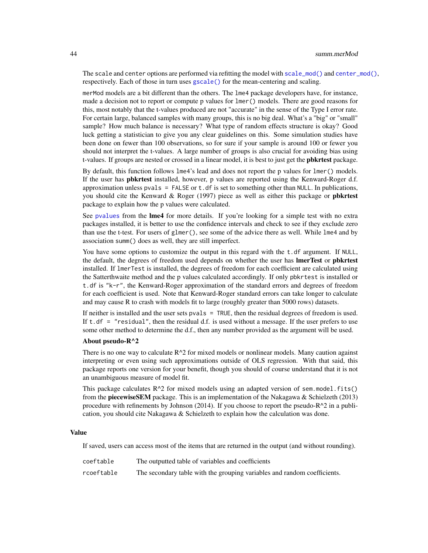<span id="page-43-0"></span>The scale and center options are performed via refitting the model with  $scale\_mod()$  and  $center\_mod()$ , respectively. Each of those in turn uses [gscale\(\)](#page-15-1) for the mean-centering and scaling.

merMod models are a bit different than the others. The lme4 package developers have, for instance, made a decision not to report or compute p values for lmer() models. There are good reasons for this, most notably that the t-values produced are not "accurate" in the sense of the Type I error rate. For certain large, balanced samples with many groups, this is no big deal. What's a "big" or "small" sample? How much balance is necessary? What type of random effects structure is okay? Good luck getting a statistician to give you any clear guidelines on this. Some simulation studies have been done on fewer than 100 observations, so for sure if your sample is around 100 or fewer you should not interpret the t-values. A large number of groups is also crucial for avoiding bias using t-values. If groups are nested or crossed in a linear model, it is best to just get the **pbkrtest** package.

By default, this function follows lme4's lead and does not report the p values for lmer() models. If the user has **pbkrtest** installed, however, p values are reported using the Kenward-Roger d.f. approximation unless pvals = FALSE or  $t$ . df is set to something other than NULL. In publications, you should cite the Kenward & Roger (1997) piece as well as either this package or **pbkrtest** package to explain how the p values were calculated.

See [pvalues](#page-0-0) from the lme4 for more details. If you're looking for a simple test with no extra packages installed, it is better to use the confidence intervals and check to see if they exclude zero than use the t-test. For users of glmer(), see some of the advice there as well. While lme4 and by association summ() does as well, they are still imperfect.

You have some options to customize the output in this regard with the t.df argument. If NULL, the default, the degrees of freedom used depends on whether the user has **lmerTest** or **pbkrtest** installed. If lmerTest is installed, the degrees of freedom for each coefficient are calculated using the Satterthwaite method and the p values calculated accordingly. If only pbkrtest is installed or t.df is "k-r", the Kenward-Roger approximation of the standard errors and degrees of freedom for each coefficient is used. Note that Kenward-Roger standard errors can take longer to calculate and may cause R to crash with models fit to large (roughly greater than 5000 rows) datasets.

If neither is installed and the user sets pvals = TRUE, then the residual degrees of freedom is used. If  $t$ . df = "residual", then the residual d.f. is used without a message. If the user prefers to use some other method to determine the d.f., then any number provided as the argument will be used.

#### About pseudo-R^2

There is no one way to calculate  $R^2$  for mixed models or nonlinear models. Many caution against interpreting or even using such approximations outside of OLS regression. With that said, this package reports one version for your benefit, though you should of course understand that it is not an unambiguous measure of model fit.

This package calculates  $R^2$  for mixed models using an adapted version of sem.model.fits() from the piecewiseSEM package. This is an implementation of the Nakagawa & Schielzeth (2013) procedure with refinements by Johnson  $(2014)$ . If you choose to report the pseudo- $R^2$  in a publication, you should cite Nakagawa & Schielzeth to explain how the calculation was done.

#### Value

If saved, users can access most of the items that are returned in the output (and without rounding).

| coeftable  | The outputted table of variables and coefficients                        |
|------------|--------------------------------------------------------------------------|
| rcoeftable | The secondary table with the grouping variables and random coefficients. |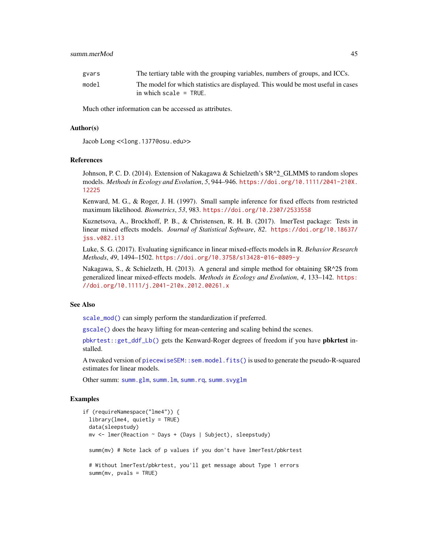#### <span id="page-44-0"></span>summ.merMod 45

| gvars | The tertiary table with the grouping variables, numbers of groups, and ICCs.     |
|-------|----------------------------------------------------------------------------------|
| model | The model for which statistics are displayed. This would be most useful in cases |
|       | in which scale $=$ TRUE.                                                         |

Much other information can be accessed as attributes.

#### Author(s)

Jacob Long << long.1377@osu.edu>>

#### References

Johnson, P. C. D. (2014). Extension of Nakagawa & Schielzeth's \$R^2\_GLMM\$ to random slopes models. *Methods in Ecology and Evolution*, *5*, 944–946. [https://doi.org/10.1111/2041-210X.](https://doi.org/10.1111/2041-210X.12225) [12225](https://doi.org/10.1111/2041-210X.12225)

Kenward, M. G., & Roger, J. H. (1997). Small sample inference for fixed effects from restricted maximum likelihood. *Biometrics*, *53*, 983. <https://doi.org/10.2307/2533558>

Kuznetsova, A., Brockhoff, P. B., & Christensen, R. H. B. (2017). lmerTest package: Tests in linear mixed effects models. *Journal of Statistical Software*, *82*. [https://doi.org/10.18637/](https://doi.org/10.18637/jss.v082.i13) [jss.v082.i13](https://doi.org/10.18637/jss.v082.i13)

Luke, S. G. (2017). Evaluating significance in linear mixed-effects models in R. *Behavior Research Methods*, *49*, 1494–1502. <https://doi.org/10.3758/s13428-016-0809-y>

Nakagawa, S., & Schielzeth, H. (2013). A general and simple method for obtaining \$R^2\$ from generalized linear mixed-effects models. *Methods in Ecology and Evolution*, *4*, 133–142. [https:](https://doi.org/10.1111/j.2041-210x.2012.00261.x) [//doi.org/10.1111/j.2041-210x.2012.00261.x](https://doi.org/10.1111/j.2041-210x.2012.00261.x)

#### See Also

[scale\\_mod\(\)](#page-30-1) can simply perform the standardization if preferred.

[gscale\(\)](#page-15-1) does the heavy lifting for mean-centering and scaling behind the scenes.

[pbkrtest::get\\_ddf\\_Lb\(\)](#page-0-0) gets the Kenward-Roger degrees of freedom if you have pbkrtest installed.

A tweaked version of [piecewiseSEM::sem.model.fits\(\)](#page-0-0) is used to generate the pseudo-R-squared estimates for linear models.

Other summ: [summ.glm](#page-35-1), [summ.lm](#page-38-1), [summ.rq](#page-45-1), [summ.svyglm](#page-47-1)

#### Examples

```
if (requireNamespace("lme4")) {
 library(lme4, quietly = TRUE)
 data(sleepstudy)
 mv <- lmer(Reaction ~ Days + (Days | Subject), sleepstudy)
 summ(mv) # Note lack of p values if you don't have lmerTest/pbkrtest
 # Without lmerTest/pbkrtest, you'll get message about Type 1 errors
 summ(mv, pvals = TRUE)
```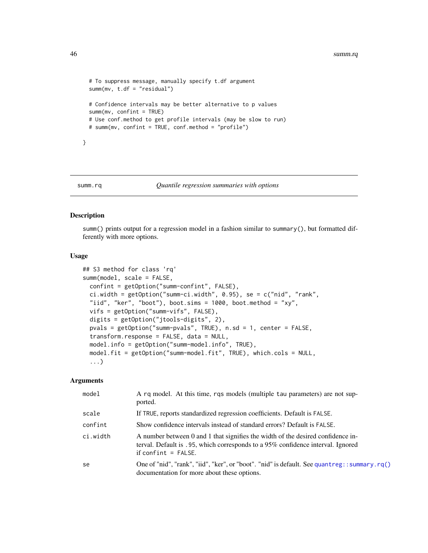```
# To suppress message, manually specify t.df argument
summ(mv, t.df = "residual")
# Confidence intervals may be better alternative to p values
summ(mv, confint = TRUE)
# Use conf.method to get profile intervals (may be slow to run)
# summ(mv, confint = TRUE, conf.method = "profile")
```
}

#### <span id="page-45-1"></span>summ.rq *Quantile regression summaries with options*

## Description

summ() prints output for a regression model in a fashion similar to summary(), but formatted differently with more options.

#### Usage

```
## S3 method for class 'rq'
summ(model, scale = FALSE,
 confint = getOption("summ-confint", FALSE),
  ci.width = getOption("summ-ci.width", 0.95), se = c("nid", "rank",
  "iid", "ker", "boot"), boot.sims = 1000, boot.method = "xy",
 vifs = getOption("summ-vifs", FALSE),
 digits = getOption("jtools-digits", 2),
 pvals = getOption("summ-pvals", TRUE), n.sd = 1, center = FALSE,
  transform.response = FALSE, data = NULL,
 model.info = getOption("summ-model.info", TRUE),
 model.fit = getOption("summ-model.fit", TRUE), which.cols = NULL,
  ...)
```

| model    | A rq model. At this time, rqs models (multiple tau parameters) are not sup-<br>ported.                                                                                                      |
|----------|---------------------------------------------------------------------------------------------------------------------------------------------------------------------------------------------|
| scale    | If TRUE, reports standardized regression coefficients. Default is FALSE.                                                                                                                    |
| confint  | Show confidence intervals instead of standard errors? Default is FALSE.                                                                                                                     |
| ci.width | A number between 0 and 1 that signifies the width of the desired confidence in-<br>terval. Default is .95, which corresponds to a 95% confidence interval. Ignored<br>if confint $=$ FALSE. |
| se       | One of "nid", "rank", "iid", "ker", or "boot". "nid" is default. See quantreg::summary.rq()<br>documentation for more about these options.                                                  |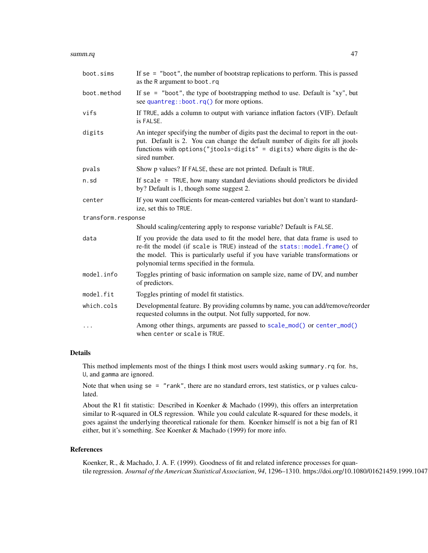#### <span id="page-46-0"></span>summ.rq 47

| boot.sims          | If $se = "boot",$ the number of bootstrap replications to perform. This is passed<br>as the R argument to boot.rq                                                                                                                                                                            |
|--------------------|----------------------------------------------------------------------------------------------------------------------------------------------------------------------------------------------------------------------------------------------------------------------------------------------|
| boot.method        | If se = "boot", the type of bootstrapping method to use. Default is " $xy$ ", but<br>see quantreg::boot.rq() for more options.                                                                                                                                                               |
| vifs               | If TRUE, adds a column to output with variance inflation factors (VIF). Default<br>is FALSE.                                                                                                                                                                                                 |
| digits             | An integer specifying the number of digits past the decimal to report in the out-<br>put. Default is 2. You can change the default number of digits for all jtools<br>functions with options ("jtools-digits" = digits) where digits is the de-<br>sired number.                             |
| pvals              | Show p values? If FALSE, these are not printed. Default is TRUE.                                                                                                                                                                                                                             |
| n.sd               | If scale $=$ TRUE, how many standard deviations should predictors be divided<br>by? Default is 1, though some suggest 2.                                                                                                                                                                     |
| center             | If you want coefficients for mean-centered variables but don't want to standard-<br>ize, set this to TRUE.                                                                                                                                                                                   |
| transform.response |                                                                                                                                                                                                                                                                                              |
|                    | Should scaling/centering apply to response variable? Default is FALSE.                                                                                                                                                                                                                       |
| data               | If you provide the data used to fit the model here, that data frame is used to<br>re-fit the model (if scale is TRUE) instead of the stats::model.frame() of<br>the model. This is particularly useful if you have variable transformations or<br>polynomial terms specified in the formula. |
| model.info         | Toggles printing of basic information on sample size, name of DV, and number<br>of predictors.                                                                                                                                                                                               |
| model.fit          | Toggles printing of model fit statistics.                                                                                                                                                                                                                                                    |
| which.cols         | Developmental feature. By providing columns by name, you can add/remove/reorder<br>requested columns in the output. Not fully supported, for now.                                                                                                                                            |
| $\cdots$           | Among other things, arguments are passed to scale_mod() or center_mod()<br>when center or scale is TRUE.                                                                                                                                                                                     |

### Details

This method implements most of the things I think most users would asking summary.rq for. hs, U, and gamma are ignored.

Note that when using se = "rank", there are no standard errors, test statistics, or p values calculated.

About the R1 fit statistic: Described in Koenker & Machado (1999), this offers an interpretation similar to R-squared in OLS regression. While you could calculate R-squared for these models, it goes against the underlying theoretical rationale for them. Koenker himself is not a big fan of R1 either, but it's something. See Koenker & Machado (1999) for more info.

## References

Koenker, R., & Machado, J. A. F. (1999). Goodness of fit and related inference processes for quantile regression. *Journal of the American Statistical Association*, 94, 1296–1310. https://doi.org/10.1080/01621459.1999.1047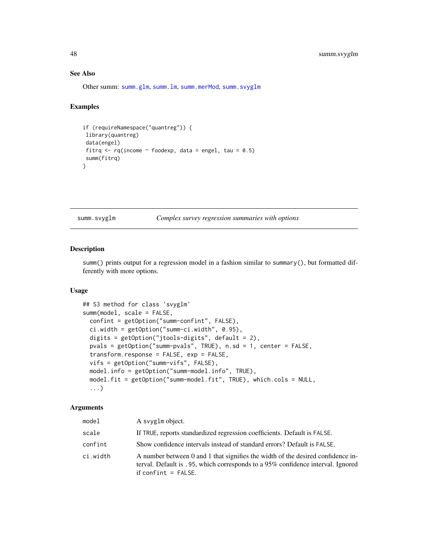## See Also

Other summ: [summ.glm](#page-35-1), [summ.lm](#page-38-1), [summ.merMod](#page-41-1), [summ.svyglm](#page-47-1)

#### Examples

```
if (requireNamespace("quantreg")) {
library(quantreg)
data(engel)
fitrq \leq rq(income \sim foodexp, data = engel, tau = 0.5)
summ(fitrq)
}
```
<span id="page-47-1"></span>summ.svyglm *Complex survey regression summaries with options*

## Description

summ() prints output for a regression model in a fashion similar to summary(), but formatted differently with more options.

## Usage

```
## S3 method for class 'svyglm'
summ(model, scale = FALSE,
 confint = getOption("summ-confint", FALSE),
 ci.width = getOption("summ-ci.width", 0.95),
 digits = getOption("jtools-digits", default = 2),
 pvals = getOption("summ-pvals", TRUE), n.sd = 1, center = FALSE,
  transform.response = FALSE, exp = FALSE,
 vifs = getOption("summ-vifs", FALSE),
 model.info = getOption("summ-model.info", TRUE),
 model.fit = getOption("summ-model.fit", TRUE), which.cols = NULL,
  ...)
```

| model    | A svyglm object.                                                                                                                                                                            |
|----------|---------------------------------------------------------------------------------------------------------------------------------------------------------------------------------------------|
| scale    | If TRUE, reports standardized regression coefficients. Default is FALSE.                                                                                                                    |
| confint  | Show confidence intervals instead of standard errors? Default is FALSE.                                                                                                                     |
| ci.width | A number between 0 and 1 that signifies the width of the desired confidence in-<br>terval. Default is .95, which corresponds to a 95% confidence interval. Ignored<br>if confint $=$ FALSE. |

<span id="page-47-0"></span>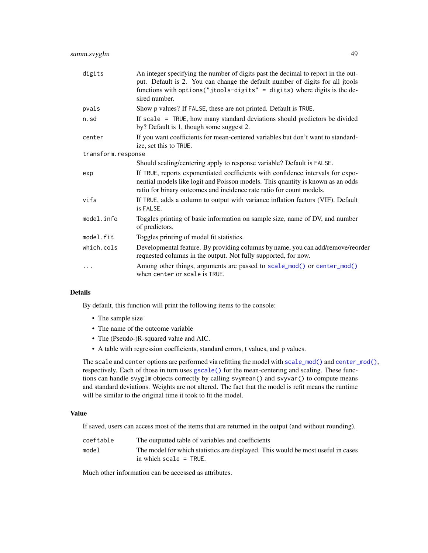<span id="page-48-0"></span>

| digits             | An integer specifying the number of digits past the decimal to report in the out-<br>put. Default is 2. You can change the default number of digits for all jtools<br>functions with options ("jtools-digits" = digits) where digits is the de-<br>sired number. |
|--------------------|------------------------------------------------------------------------------------------------------------------------------------------------------------------------------------------------------------------------------------------------------------------|
| pvals              | Show p values? If FALSE, these are not printed. Default is TRUE.                                                                                                                                                                                                 |
| n.sd               | If scale $=$ TRUE, how many standard deviations should predictors be divided<br>by? Default is 1, though some suggest 2.                                                                                                                                         |
| center             | If you want coefficients for mean-centered variables but don't want to standard-<br>ize, set this to TRUE.                                                                                                                                                       |
| transform.response |                                                                                                                                                                                                                                                                  |
|                    | Should scaling/centering apply to response variable? Default is FALSE.                                                                                                                                                                                           |
| exp                | If TRUE, reports exponentiated coefficients with confidence intervals for expo-<br>nential models like logit and Poisson models. This quantity is known as an odds<br>ratio for binary outcomes and incidence rate ratio for count models.                       |
| vifs               | If TRUE, adds a column to output with variance inflation factors (VIF). Default<br>is FALSE.                                                                                                                                                                     |
| model.info         | Toggles printing of basic information on sample size, name of DV, and number<br>of predictors.                                                                                                                                                                   |
| model.fit          | Toggles printing of model fit statistics.                                                                                                                                                                                                                        |
| which.cols         | Developmental feature. By providing columns by name, you can add/remove/reorder<br>requested columns in the output. Not fully supported, for now.                                                                                                                |
| .                  | Among other things, arguments are passed to scale_mod() or center_mod()<br>when center or scale is TRUE.                                                                                                                                                         |

## Details

By default, this function will print the following items to the console:

- The sample size
- The name of the outcome variable
- The (Pseudo-)R-squared value and AIC.
- A table with regression coefficients, standard errors, t values, and p values.

The scale and center options are performed via refitting the model with [scale\\_mod\(\)](#page-30-1) and [center\\_mod\(\)](#page-3-1), respectively. Each of those in turn uses [gscale\(\)](#page-15-1) for the mean-centering and scaling. These functions can handle svyglm objects correctly by calling svymean() and svyvar() to compute means and standard deviations. Weights are not altered. The fact that the model is refit means the runtime will be similar to the original time it took to fit the model.

## Value

If saved, users can access most of the items that are returned in the output (and without rounding).

| coeftable | The outputted table of variables and coefficients                                |
|-----------|----------------------------------------------------------------------------------|
| model     | The model for which statistics are displayed. This would be most useful in cases |
|           | in which scale $=$ TRUE.                                                         |

Much other information can be accessed as attributes.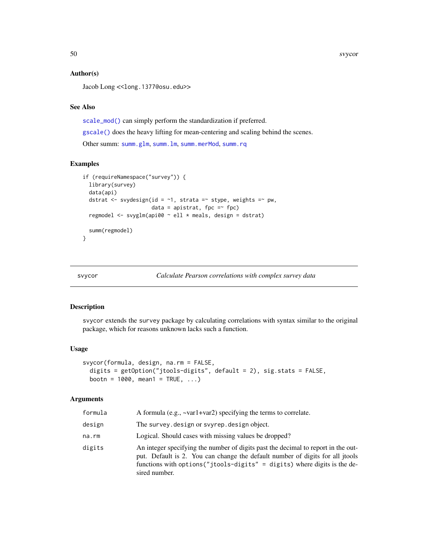#### Author(s)

Jacob Long << long.1377@osu.edu>>

## See Also

[scale\\_mod\(\)](#page-30-1) can simply perform the standardization if preferred.

[gscale\(\)](#page-15-1) does the heavy lifting for mean-centering and scaling behind the scenes.

Other summ: [summ.glm](#page-35-1), [summ.lm](#page-38-1), [summ.merMod](#page-41-1), [summ.rq](#page-45-1)

#### Examples

```
if (requireNamespace("survey")) {
 library(survey)
 data(api)
 dstrat <- svydesign(id = \sim1, strata =\sim stype, weights =\sim pw,
                      data = apistrat, fpc =~ fpc)
 regmodel <- svyglm(api00 ~ ell * meals, design = dstrat)
 summ(regmodel)
}
```
<span id="page-49-1"></span>svycor *Calculate Pearson correlations with complex survey data*

#### Description

svycor extends the survey package by calculating correlations with syntax similar to the original package, which for reasons unknown lacks such a function.

#### Usage

```
svycor(formula, design, na.rm = FALSE,
  digits = getOption("jtools-digits", default = 2), sig.stats = FALSE,
 bootn = 1000, mean1 = \text{TRUE}, \ldots)
```

| formula | A formula (e.g., $\sim$ var1+var2) specifying the terms to correlate.                                                                                                                                                                                            |
|---------|------------------------------------------------------------------------------------------------------------------------------------------------------------------------------------------------------------------------------------------------------------------|
| design  | The survey. design or svyrep. design object.                                                                                                                                                                                                                     |
| na.rm   | Logical. Should cases with missing values be dropped?                                                                                                                                                                                                            |
| digits  | An integer specifying the number of digits past the decimal to report in the out-<br>put. Default is 2. You can change the default number of digits for all jtools<br>functions with options ("jtools-digits" = digits) where digits is the de-<br>sired number. |

<span id="page-49-0"></span>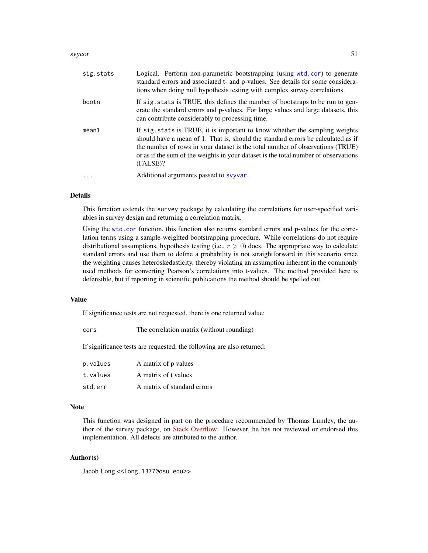#### <span id="page-50-0"></span>svycor 51

| sig.stats | Logical. Perform non-parametric bootstrapping (using wtd.cor) to generate<br>standard errors and associated t- and p-values. See details for some considera-<br>tions when doing null hypothesis testing with complex survey correlations.                                                                                                          |
|-----------|-----------------------------------------------------------------------------------------------------------------------------------------------------------------------------------------------------------------------------------------------------------------------------------------------------------------------------------------------------|
| bootn     | If sig. stats is TRUE, this defines the number of bootstraps to be run to gen-<br>erate the standard errors and p-values. For large values and large datasets, this<br>can contribute considerably to processing time.                                                                                                                              |
| mean1     | If sig. stats is TRUE, it is important to know whether the sampling weights<br>should have a mean of 1. That is, should the standard errors be calculated as if<br>the number of rows in your dataset is the total number of observations (TRUE)<br>or as if the sum of the weights in your dataset is the total number of observations<br>(FALSE)? |
|           | Additional arguments passed to syyvar.                                                                                                                                                                                                                                                                                                              |

## Details

This function extends the survey package by calculating the correlations for user-specified variables in survey design and returning a correlation matrix.

Using the [wtd.cor](#page-0-0) function, this function also returns standard errors and p-values for the correlation terms using a sample-weighted bootstrapping procedure. While correlations do not require distributional assumptions, hypothesis testing (i.e.,  $r > 0$ ) does. The appropriate way to calculate standard errors and use them to define a probability is not straightforward in this scenario since the weighting causes heteroskedasticity, thereby violating an assumption inherent in the commonly used methods for converting Pearson's correlations into t-values. The method provided here is defensible, but if reporting in scientific publications the method should be spelled out.

## Value

If significance tests are not requested, there is one returned value:

| cors | The correlation matrix (without rounding) |  |  |
|------|-------------------------------------------|--|--|
|------|-------------------------------------------|--|--|

If significance tests are requested, the following are also returned:

| p.values | A matrix of p values        |
|----------|-----------------------------|
| t.values | A matrix of t values        |
| std.err  | A matrix of standard errors |

#### Note

This function was designed in part on the procedure recommended by Thomas Lumley, the author of the survey package, on [Stack Overflow.](http://stackoverflow.com/questions/34418822/pearson-correlation-coefficient-in-rs-survey-package#41031088) However, he has not reviewed or endorsed this implementation. All defects are attributed to the author.

## Author(s)

Jacob Long << long.1377@osu.edu>>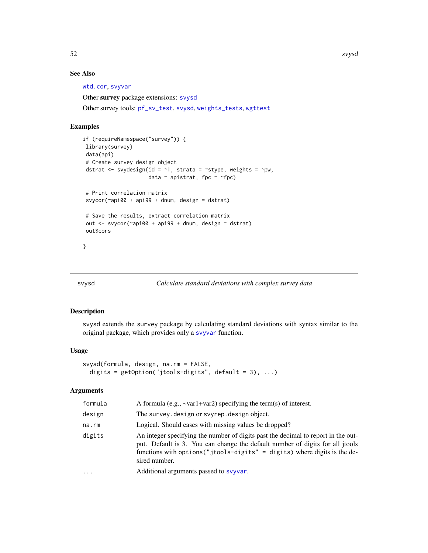52 svysd

## See Also

[wtd.cor](#page-0-0), [svyvar](#page-0-0)

Other survey package extensions: [svysd](#page-51-1)

Other survey tools: [pf\\_sv\\_test](#page-25-1), [svysd](#page-51-1), [weights\\_tests](#page-56-1), [wgttest](#page-57-1)

## Examples

```
if (requireNamespace("survey")) {
library(survey)
data(api)
# Create survey design object
dstrat <- svydesign(id = \sim1, strata = \simstype, weights = \simpw,
                     data = apistrat, fpc = \simfpc)
# Print correlation matrix
svycor(~api00 + api99 + dnum, design = dstrat)
# Save the results, extract correlation matrix
out <- svycor(~api00 + api99 + dnum, design = dstrat)
out$cors
}
```
<span id="page-51-1"></span>

## Description

svysd extends the survey package by calculating standard deviations with syntax similar to the original package, which provides only a [svyvar](#page-0-0) function.

#### Usage

```
svysd(formula, design, na.rm = FALSE,
 digits = getOption("jtools-digits", default = 3), ...)
```

| formula | A formula (e.g., $\sim$ var1+var2) specifying the term(s) of interest.                                                                                                                                                                                           |
|---------|------------------------------------------------------------------------------------------------------------------------------------------------------------------------------------------------------------------------------------------------------------------|
| design  | The survey. design or svyrep. design object.                                                                                                                                                                                                                     |
| na.rm   | Logical. Should cases with missing values be dropped?                                                                                                                                                                                                            |
| digits  | An integer specifying the number of digits past the decimal to report in the out-<br>put. Default is 3. You can change the default number of digits for all jtools<br>functions with options ("jtools-digits" = digits) where digits is the de-<br>sired number. |
| .       | Additional arguments passed to syyvar.                                                                                                                                                                                                                           |
|         |                                                                                                                                                                                                                                                                  |

<span id="page-51-0"></span>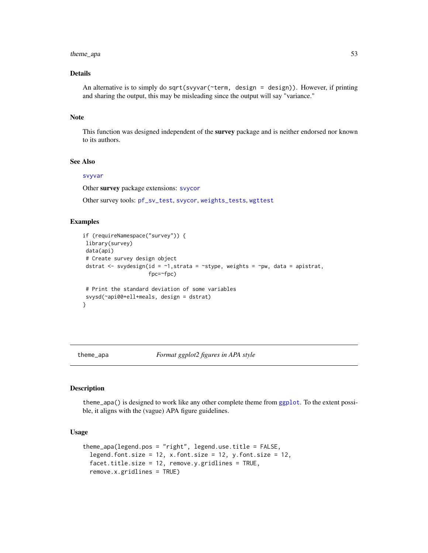## <span id="page-52-0"></span>theme\_apa 53

## Details

An alternative is to simply do sqrt(svyvar(~term, design = design)). However, if printing and sharing the output, this may be misleading since the output will say "variance."

#### Note

This function was designed independent of the survey package and is neither endorsed nor known to its authors.

## See Also

## [svyvar](#page-0-0)

Other survey package extensions: [svycor](#page-49-1)

Other survey tools: [pf\\_sv\\_test](#page-25-1), [svycor](#page-49-1), [weights\\_tests](#page-56-1), [wgttest](#page-57-1)

#### Examples

```
if (requireNamespace("survey")) {
library(survey)
data(api)
# Create survey design object
dstrat \leq svydesign(id = \sim1, strata = \simstype, weights = \simpw, data = apistrat,
                      fpc=~fpc)
# Print the standard deviation of some variables
svysd(~api00+ell+meals, design = dstrat)
}
```
theme\_apa *Format ggplot2 figures in APA style*

#### Description

theme\_apa() is designed to work like any other complete theme from [ggplot](#page-0-0). To the extent possible, it aligns with the (vague) APA figure guidelines.

## Usage

```
theme_apa(legend.pos = "right", legend.use.title = FALSE,
  legend.font.size = 12, x.font.size = 12, y.font.size = 12,
  facet.title.size = 12, remove.y.gridlines = TRUE,
  remove.x.gridlines = TRUE)
```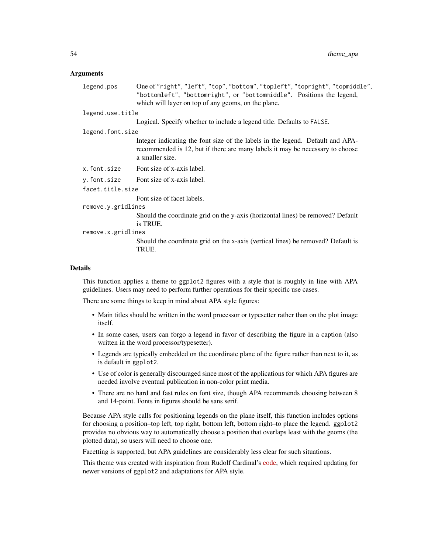#### Arguments

| legend.pos         | One of "right", "left", "top", "bottom", "topleft", "topright", "topmiddle",                                                                                                       |
|--------------------|------------------------------------------------------------------------------------------------------------------------------------------------------------------------------------|
|                    | "bottomleft", "bottomright", or "bottommiddle". Positions the legend,                                                                                                              |
|                    | which will layer on top of any geoms, on the plane.                                                                                                                                |
| legend.use.title   |                                                                                                                                                                                    |
|                    | Logical. Specify whether to include a legend title. Defaults to FALSE.                                                                                                             |
| legend.font.size   |                                                                                                                                                                                    |
|                    | Integer indicating the font size of the labels in the legend. Default and APA-<br>recommended is 12, but if there are many labels it may be necessary to choose<br>a smaller size. |
| x.font.size        | Font size of x-axis label.                                                                                                                                                         |
| y.font.size        | Font size of x-axis label.                                                                                                                                                         |
| facet.title.size   |                                                                                                                                                                                    |
|                    | Font size of facet labels.                                                                                                                                                         |
| remove.y.gridlines |                                                                                                                                                                                    |
|                    | Should the coordinate grid on the y-axis (horizontal lines) be removed? Default<br>is TRUE.                                                                                        |
| remove.x.gridlines |                                                                                                                                                                                    |
|                    | Should the coordinate grid on the x-axis (vertical lines) be removed? Default is<br>TRUE.                                                                                          |
|                    |                                                                                                                                                                                    |

#### Details

This function applies a theme to ggplot2 figures with a style that is roughly in line with APA guidelines. Users may need to perform further operations for their specific use cases.

There are some things to keep in mind about APA style figures:

- Main titles should be written in the word processor or typesetter rather than on the plot image itself.
- In some cases, users can forgo a legend in favor of describing the figure in a caption (also written in the word processor/typesetter).
- Legends are typically embedded on the coordinate plane of the figure rather than next to it, as is default in ggplot2.
- Use of color is generally discouraged since most of the applications for which APA figures are needed involve eventual publication in non-color print media.
- There are no hard and fast rules on font size, though APA recommends choosing between 8 and 14-point. Fonts in figures should be sans serif.

Because APA style calls for positioning legends on the plane itself, this function includes options for choosing a position–top left, top right, bottom left, bottom right–to place the legend. ggplot2 provides no obvious way to automatically choose a position that overlaps least with the geoms (the plotted data), so users will need to choose one.

Facetting is supported, but APA guidelines are considerably less clear for such situations.

This theme was created with inspiration from Rudolf Cardinal's [code,](http://egret.psychol.cam.ac.uk/statistics/R/graphs2.html) which required updating for newer versions of ggplot2 and adaptations for APA style.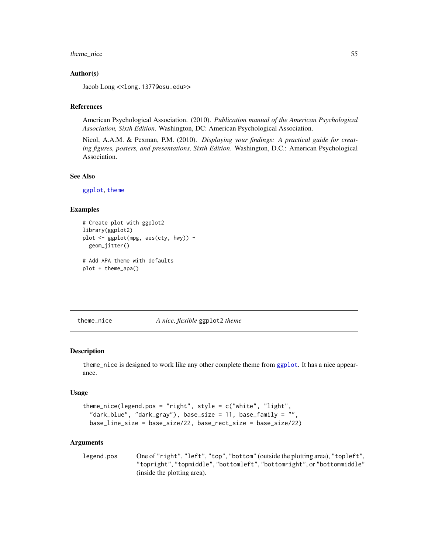## <span id="page-54-0"></span>theme\_nice 55

#### Author(s)

Jacob Long << long.1377@osu.edu>>

#### References

American Psychological Association. (2010). *Publication manual of the American Psychological Association, Sixth Edition*. Washington, DC: American Psychological Association.

Nicol, A.A.M. & Pexman, P.M. (2010). *Displaying your findings: A practical guide for creating figures, posters, and presentations, Sixth Edition*. Washington, D.C.: American Psychological Association.

## See Also

[ggplot](#page-0-0), [theme](#page-0-0)

#### Examples

```
# Create plot with ggplot2
library(ggplot2)
plot <- ggplot(mpg, aes(cty, hwy)) +
 geom_jitter()
# Add APA theme with defaults
```
plot + theme\_apa()

theme\_nice *A nice, flexible* ggplot2 *theme*

#### Description

theme\_nice is designed to work like any other complete theme from [ggplot](#page-0-0). It has a nice appearance.

#### Usage

```
theme_nice(legend.pos = "right", style = c("white", "light",
 "dark_blue", "dark_gray"), base_size = 11, base_family = "",
 base_line_size = base_size/22, base_rect_size = base_size/22)
```

```
legend.pos One of "right", "left", "top", "bottom" (outside the plotting area), "topleft",
                 "topright", "topmiddle", "bottomleft", "bottomright", or "bottommiddle"
                 (inside the plotting area).
```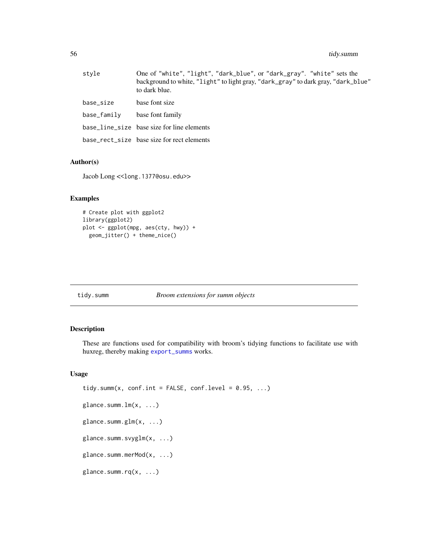## <span id="page-55-0"></span>56 tidy.summ

| stvle       | One of "white", "light", "dark_blue", or "dark_gray". "white" sets the<br>background to white, "light" to light gray, "dark_gray" to dark gray, "dark_blue"<br>to dark blue. |
|-------------|------------------------------------------------------------------------------------------------------------------------------------------------------------------------------|
| base size   | base font size                                                                                                                                                               |
| base_family | base font family                                                                                                                                                             |
|             | base_line_size base size for line elements                                                                                                                                   |
|             | base_rect_size base size for rect elements                                                                                                                                   |

## Author(s)

Jacob Long << long.1377@osu.edu>>

## Examples

```
# Create plot with ggplot2
library(ggplot2)
plot <- ggplot(mpg, aes(cty, hwy)) +
  geom_jitter() + theme_nice()
```
<span id="page-55-1"></span>

|  |  | tıdv.summ |  |
|--|--|-----------|--|
|  |  |           |  |

## tidy.summ *Broom extensions for summ objects*

## Description

These are functions used for compatibility with broom's tidying functions to facilitate use with huxreg, thereby making [export\\_summs](#page-10-1) works.

#### Usage

```
tidy.summ(x, conf.int = FALSE, conf.level = 0.95, ...)
glance.summ.lm(x, ...)
glance.summ.glm(x, ...)
glance.summ.svyglm(x, ...)
glance.summ.merMod(x, ...)
glance.summ.rq(x, ...)
```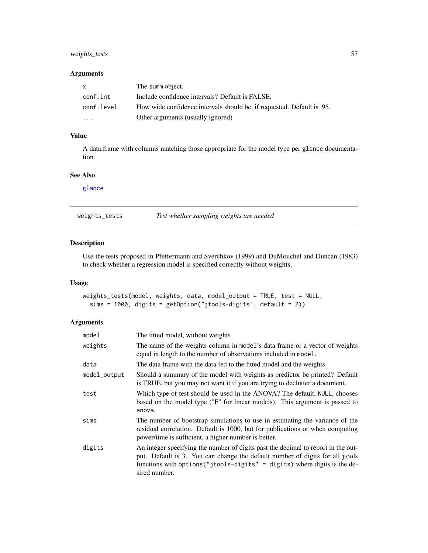## <span id="page-56-0"></span>weights\_tests 57

#### Arguments

| $\mathsf{X}$            | The summ object.                                                        |
|-------------------------|-------------------------------------------------------------------------|
| conf.int                | Include confidence intervals? Default is FALSE.                         |
| conf.level              | How wide confidence intervals should be, if requested. Default is 0.95. |
| $\cdot$ $\cdot$ $\cdot$ | Other arguments (usually ignored)                                       |

## Value

A data.frame with columns matching those appropriate for the model type per glance documentation.

## See Also

[glance](#page-0-0)

<span id="page-56-1"></span>weights\_tests *Test whether sampling weights are needed*

## Description

Use the tests proposed in Pfeffermann and Sverchkov (1999) and DuMouchel and Duncan (1983) to check whether a regression model is specified correctly without weights.

#### Usage

```
weights_tests(model, weights, data, model_output = TRUE, test = NULL,
 sims = 1000, digits = getOption("jtools-digits", default = 2))
```

| model        | The fitted model, without weights                                                                                                                                                                                                                                |
|--------------|------------------------------------------------------------------------------------------------------------------------------------------------------------------------------------------------------------------------------------------------------------------|
| weights      | The name of the weights column in model's data frame or a vector of weights<br>equal in length to the number of observations included in model.                                                                                                                  |
| data         | The data frame with the data fed to the fitted model and the weights                                                                                                                                                                                             |
| model_output | Should a summary of the model with weights as predictor be printed? Default<br>is TRUE, but you may not want it if you are trying to declutter a document.                                                                                                       |
| test         | Which type of test should be used in the ANOVA? The default, NULL, chooses<br>based on the model type ("F" for linear models). This argument is passed to<br>anova.                                                                                              |
| sims         | The number of bootstrap simulations to use in estimating the variance of the<br>residual correlation. Default is 1000, but for publications or when computing<br>power/time is sufficient, a higher number is better.                                            |
| digits       | An integer specifying the number of digits past the decimal to report in the out-<br>put. Default is 3. You can change the default number of digits for all jtools<br>functions with options ("jtools-digits" = digits) where digits is the de-<br>sired number. |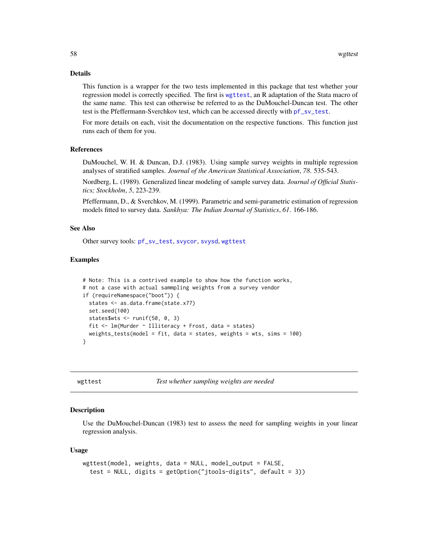#### Details

This function is a wrapper for the two tests implemented in this package that test whether your regression model is correctly specified. The first is [wgttest](#page-57-1), an R adaptation of the Stata macro of the same name. This test can otherwise be referred to as the DuMouchel-Duncan test. The other test is the Pfeffermann-Sverchkov test, which can be accessed directly with [pf\\_sv\\_test](#page-25-1).

For more details on each, visit the documentation on the respective functions. This function just runs each of them for you.

## References

DuMouchel, W. H. & Duncan, D.J. (1983). Using sample survey weights in multiple regression analyses of stratified samples. *Journal of the American Statistical Association*, *78*. 535-543.

Nordberg, L. (1989). Generalized linear modeling of sample survey data. *Journal of Official Statistics; Stockholm*, *5*, 223-239.

Pfeffermann, D., & Sverchkov, M. (1999). Parametric and semi-parametric estimation of regression models fitted to survey data. *Sankhya: The Indian Journal of Statistics*, *61*. 166-186.

## See Also

Other survey tools: [pf\\_sv\\_test](#page-25-1), [svycor](#page-49-1), [svysd](#page-51-1), [wgttest](#page-57-1)

#### Examples

```
# Note: This is a contrived example to show how the function works,
# not a case with actual sammpling weights from a survey vendor
if (requireNamespace("boot")) {
 states <- as.data.frame(state.x77)
 set.seed(100)
 states$wts <- runif(50, 0, 3)
 fit \leq lm(Murder \sim Illiteracy + Frost, data = states)
 weights_tests(model = fit, data = states, weights = wts, sims = 100)
}
```
<span id="page-57-1"></span>wgttest *Test whether sampling weights are needed*

#### Description

Use the DuMouchel-Duncan (1983) test to assess the need for sampling weights in your linear regression analysis.

#### Usage

```
wgttest(model, weights, data = NULL, model_output = FALSE,
  test = NULL, digits = getOption("jtools-digits", default = 3))
```
<span id="page-57-0"></span>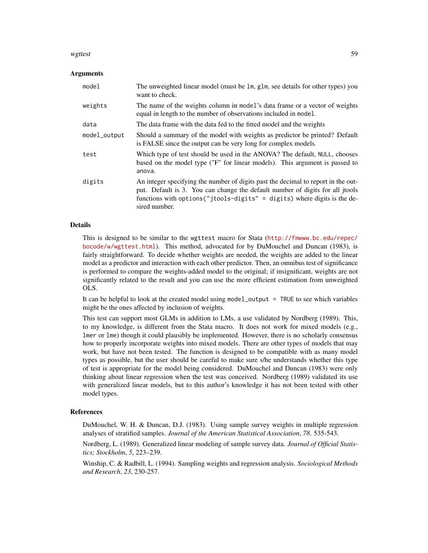#### wgttest 59

#### Arguments

| model        | The unweighted linear model (must be 1m, g1m, see details for other types) you<br>want to check.                                                                                                                                                                 |
|--------------|------------------------------------------------------------------------------------------------------------------------------------------------------------------------------------------------------------------------------------------------------------------|
| weights      | The name of the weights column in model's data frame or a vector of weights<br>equal in length to the number of observations included in model.                                                                                                                  |
| data         | The data frame with the data fed to the fitted model and the weights                                                                                                                                                                                             |
| model_output | Should a summary of the model with weights as predictor be printed? Default<br>is FALSE since the output can be very long for complex models.                                                                                                                    |
| test         | Which type of test should be used in the ANOVA? The default, NULL, chooses<br>based on the model type ("F" for linear models). This argument is passed to<br>anova.                                                                                              |
| digits       | An integer specifying the number of digits past the decimal to report in the out-<br>put. Default is 3. You can change the default number of digits for all jtools<br>functions with options ("jtools-digits" = digits) where digits is the de-<br>sired number. |

#### Details

This is designed to be similar to the wgttest macro for Stata ([http://fmwww.bc.edu/repec/](http://fmwww.bc.edu/repec/bocode/w/wgttest.html) [bocode/w/wgttest.html](http://fmwww.bc.edu/repec/bocode/w/wgttest.html)). This method, advocated for by DuMouchel and Duncan (1983), is fairly straightforward. To decide whether weights are needed, the weights are added to the linear model as a predictor and interaction with each other predictor. Then, an omnibus test of significance is performed to compare the weights-added model to the original; if insignificant, weights are not significantly related to the result and you can use the more efficient estimation from unweighted OLS.

It can be helpful to look at the created model using model\_output = TRUE to see which variables might be the ones affected by inclusion of weights.

This test can support most GLMs in addition to LMs, a use validated by Nordberg (1989). This, to my knowledge, is different from the Stata macro. It does not work for mixed models (e.g., lmer or lme) though it could plausibly be implemented. However, there is no scholarly consensus how to properly incorporate weights into mixed models. There are other types of models that may work, but have not been tested. The function is designed to be compatible with as many model types as possible, but the user should be careful to make sure s/he understands whether this type of test is appropriate for the model being considered. DuMouchel and Duncan (1983) were only thinking about linear regression when the test was conceived. Nordberg (1989) validated its use with generalized linear models, but to this author's knowledge it has not been tested with other model types.

#### References

DuMouchel, W. H. & Duncan, D.J. (1983). Using sample survey weights in multiple regression analyses of stratified samples. *Journal of the American Statistical Association*, *78*. 535-543.

Nordberg, L. (1989). Generalized linear modeling of sample survey data. *Journal of Official Statistics; Stockholm*, *5*, 223–239.

Winship, C. & Radbill, L. (1994). Sampling weights and regression analysis. *Sociological Methods and Research*, *23*, 230-257.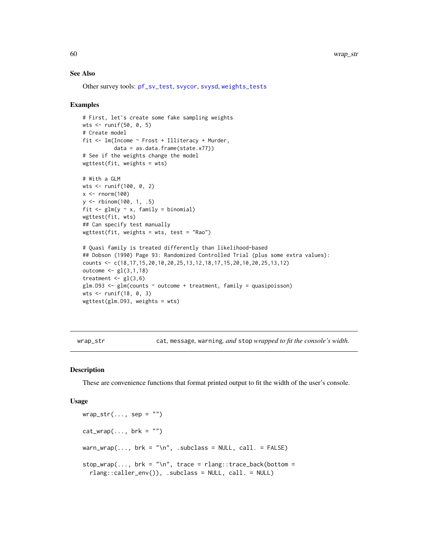#### See Also

Other survey tools: [pf\\_sv\\_test](#page-25-1), [svycor](#page-49-1), [svysd](#page-51-1), [weights\\_tests](#page-56-1)

#### Examples

```
# First, let's create some fake sampling weights
wts <- runif(50, 0, 5)
# Create model
fit <- lm(Income ~ Frost + Illiteracy + Murder,
          data = as.data.frame(state.x77))
# See if the weights change the model
wgttest(fit, weights = wts)
# With a GLM
wts <- runif(100, 0, 2)
x \le- rnorm(100)
y <- rbinom(100, 1, .5)
fit \leq glm(y \sim x, family = binomial)
wgttest(fit, wts)
## Can specify test manually
wgttest(fit, weights = wts, test = "Rao")
# Quasi family is treated differently than likelihood-based
## Dobson (1990) Page 93: Randomized Controlled Trial (plus some extra values):
counts <- c(18,17,15,20,10,20,25,13,12,18,17,15,20,10,20,25,13,12)
outcome <- gl(3,1,18)
treatment \leq gl(3,6)
glm.D93 < - glm(counts ~outcome ~+ treatment, family = quasipoisson)wts <- runif(18, 0, 3)
wgttest(glm.D93, weights = wts)
```
wrap\_str cat*,* message*,* warning*, and* stop *wrapped to fit the console's width.*

#### Description

These are convenience functions that format printed output to fit the width of the user's console.

#### Usage

```
wrap\_str(..., sep = "")cat_{wrap(..., brk = "")}warn_wrap(..., \text{brk} = "\n", \text{subclass} = \text{NULL}, \text{call.} = \text{FALSE})stop\_wrap(..., brk = "\\n", trace = rlang::trace_back(bottom =rlang::caller_env()), .subclass = NULL, call. = NULL)
```
<span id="page-59-0"></span>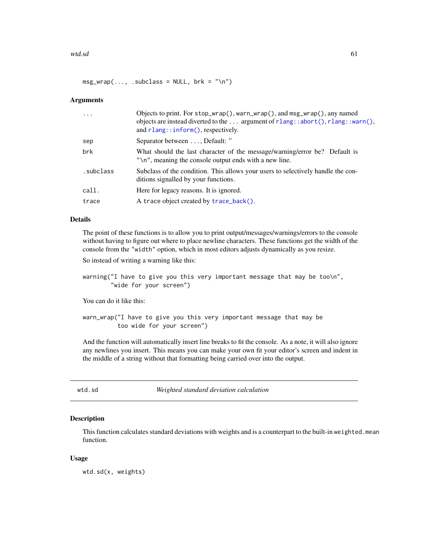#### <span id="page-60-0"></span>wtd.sd 61

 $msg\_wrap(..., .subclass = NULL, brk = "\\n")$ 

## Arguments

| $\cdot$   | Objects to print. For $stop\_wrap()$ , warn_wrap $()$ , and $msg\_wrap()$ , any named<br>objects are instead diverted to the  argument of $rlang::abort()$ , $rlang::warm()$ ,<br>and $rlang::inform()$ , respectively. |
|-----------|-------------------------------------------------------------------------------------------------------------------------------------------------------------------------------------------------------------------------|
| sep       | Separator between , Default: "                                                                                                                                                                                          |
| brk       | What should the last character of the message/warning/error be? Default is<br>$\gamma$ \n'', meaning the console output ends with a new line.                                                                           |
| .subclass | Subclass of the condition. This allows your users to selectively handle the con-<br>ditions signalled by your functions.                                                                                                |
| call.     | Here for legacy reasons. It is ignored.                                                                                                                                                                                 |
| trace     | A trace object created by trace_back().                                                                                                                                                                                 |
|           |                                                                                                                                                                                                                         |

## Details

The point of these functions is to allow you to print output/messages/warnings/errors to the console without having to figure out where to place newline characters. These functions get the width of the console from the "width" option, which in most editors adjusts dynamically as you resize.

So instead of writing a warning like this:

warning("I have to give you this very important message that may be too\n", "wide for your screen")

You can do it like this:

warn\_wrap("I have to give you this very important message that may be too wide for your screen")

And the function will automatically insert line breaks to fit the console. As a note, it will also ignore any newlines you insert. This means you can make your own fit your editor's screen and indent in the middle of a string without that formatting being carried over into the output.

wtd.sd *Weighted standard deviation calculation*

## Description

This function calculates standard deviations with weights and is a counterpart to the built-in weighted.mean function.

#### Usage

wtd.sd(x, weights)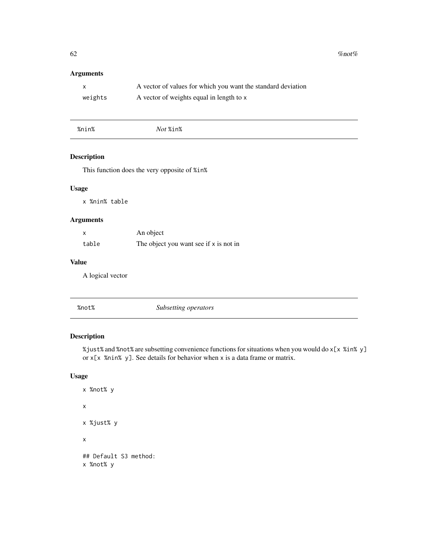<span id="page-61-0"></span>62 % not  $\%$  not  $\%$  not  $\%$ 

## Arguments

| $\mathsf{x}$ | A vector of values for which you want the standard deviation |
|--------------|--------------------------------------------------------------|
| weights      | A vector of weights equal in length to x                     |

| $\delta t$ %in%<br>$\mathbf{r}$<br>No. |
|----------------------------------------|
|----------------------------------------|

## Description

This function does the very opposite of %in%

## Usage

x %nin% table

## Arguments

| x     | An object                              |
|-------|----------------------------------------|
| table | The object you want see if x is not in |

#### Value

A logical vector

| %not% | Subsetting operators |  |
|-------|----------------------|--|
|       |                      |  |

## Description

%just% and %not% are subsetting convenience functions for situations when you would do x[x %in% y] or  $x[x \text{ % } y]$ . See details for behavior when x is a data frame or matrix.

## Usage

```
x %not% y
x
x %just% y
x
## Default S3 method:
x %not% y
```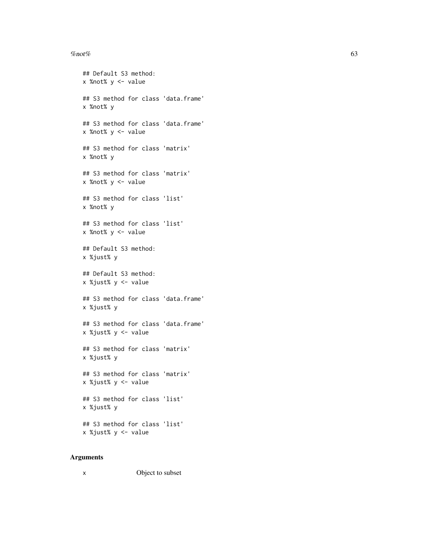#### % not % 63

```
## Default S3 method:
x %not% y <- value
## S3 method for class 'data.frame'
x %not% y
## S3 method for class 'data.frame'
x %not% y <- value
## S3 method for class 'matrix'
x %not% y
## S3 method for class 'matrix'
x %not% y <- value
## S3 method for class 'list'
x %not% y
## S3 method for class 'list'
x %not% y <- value
## Default S3 method:
x %just% y
## Default S3 method:
x %just% y <- value
## S3 method for class 'data.frame'
x %just% y
## S3 method for class 'data.frame'
x %just% y <- value
## S3 method for class 'matrix'
x %just% y
## S3 method for class 'matrix'
x %just% y <- value
## S3 method for class 'list'
x %just% y
## S3 method for class 'list'
x %just% y <- value
```

| x | Object to subset |
|---|------------------|
|---|------------------|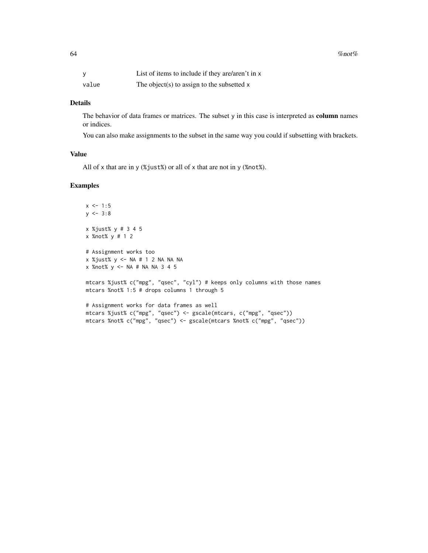|       | List of items to include if they are/aren't in x |
|-------|--------------------------------------------------|
| value | The object(s) to assign to the subsetted $x$     |

## Details

The behavior of data frames or matrices. The subset y in this case is interpreted as column names or indices.

You can also make assignments to the subset in the same way you could if subsetting with brackets.

## Value

All of x that are in y (%just%) or all of x that are not in y (%not%).

## Examples

```
x \le -1:5y \le -3:8x %just% y # 3 4 5
x %not% y # 1 2
# Assignment works too
x %just% y <- NA # 1 2 NA NA NA
x %not% y <- NA # NA NA 3 4 5
mtcars %just% c("mpg", "qsec", "cyl") # keeps only columns with those names
mtcars %not% 1:5 # drops columns 1 through 5
# Assignment works for data frames as well
```
mtcars %just% c("mpg", "qsec") <- gscale(mtcars, c("mpg", "qsec")) mtcars %not% c("mpg", "qsec") <- gscale(mtcars %not% c("mpg", "qsec"))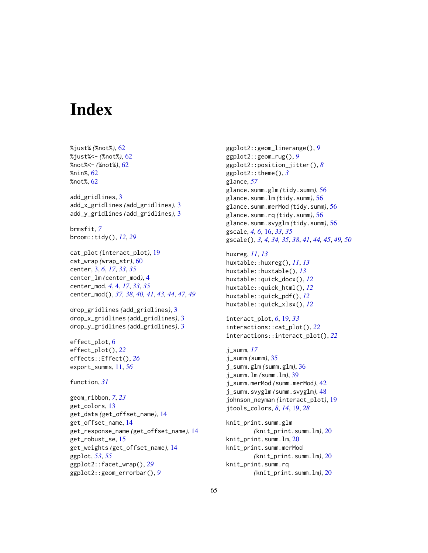# <span id="page-64-0"></span>**Index**

%just% *(*%not%*)*, [62](#page-61-0) %just%<- *(*%not%*)*, [62](#page-61-0) %not%<- *(*%not%*)*, [62](#page-61-0) %nin%, [62](#page-61-0) %not%, [62](#page-61-0) add\_gridlines, [3](#page-2-0) add\_x\_gridlines *(*add\_gridlines*)*, [3](#page-2-0) add\_y\_gridlines *(*add\_gridlines*)*, [3](#page-2-0) brmsfit, *[7](#page-6-0)* broom::tidy(), *[12](#page-11-0)*, *[29](#page-28-0)* cat\_plot *(*interact\_plot*)*, [19](#page-18-0) cat\_wrap *(*wrap\_str*)*, [60](#page-59-0) center, [3,](#page-2-0) *[6](#page-5-0)*, *[17](#page-16-0)*, *[33](#page-32-0)*, *[35](#page-34-0)* center\_lm *(*center\_mod*)*, [4](#page-3-0) center\_mod, *[4](#page-3-0)*, [4,](#page-3-0) *[17](#page-16-0)*, *[33](#page-32-0)*, *[35](#page-34-0)* center\_mod(), *[37,](#page-36-0) [38](#page-37-0)*, *[40,](#page-39-0) [41](#page-40-0)*, *[43,](#page-42-0) [44](#page-43-0)*, *[47](#page-46-0)*, *[49](#page-48-0)* drop\_gridlines *(*add\_gridlines*)*, [3](#page-2-0) drop\_x\_gridlines *(*add\_gridlines*)*, [3](#page-2-0) drop\_y\_gridlines *(*add\_gridlines*)*, [3](#page-2-0) effect\_plot, [6](#page-5-0) effect\_plot(), *[22](#page-21-0)* effects::Effect(), *[26](#page-25-0)* export\_summs, [11,](#page-10-0) *[56](#page-55-0)* function, *[31](#page-30-0)* geom\_ribbon, *[7](#page-6-0)*, *[23](#page-22-0)* get\_colors, [13](#page-12-0) get\_data *(*get\_offset\_name*)*, [14](#page-13-0) get\_offset\_name, [14](#page-13-0) get\_response\_name *(*get\_offset\_name*)*, [14](#page-13-0) get\_robust\_se, [15](#page-14-0) get\_weights *(*get\_offset\_name*)*, [14](#page-13-0) ggplot, *[53](#page-52-0)*, *[55](#page-54-0)* ggplot2::facet\_wrap(), *[29](#page-28-0)* ggplot2::geom\_errorbar(), *[9](#page-8-0)*

ggplot2::geom\_linerange(), *[9](#page-8-0)* ggplot2::geom\_rug(), *[9](#page-8-0)* ggplot2::position\_jitter(), *[8](#page-7-0)* ggplot2::theme(), *[3](#page-2-0)* glance, *[57](#page-56-0)* glance.summ.glm *(*tidy.summ*)*, [56](#page-55-0) glance.summ.lm *(*tidy.summ*)*, [56](#page-55-0) glance.summ.merMod *(*tidy.summ*)*, [56](#page-55-0) glance.summ.rq *(*tidy.summ*)*, [56](#page-55-0) glance.summ.svyglm *(*tidy.summ*)*, [56](#page-55-0) gscale, *[4](#page-3-0)*, *[6](#page-5-0)*, [16,](#page-15-0) *[33](#page-32-0)*, *[35](#page-34-0)* gscale(), *[3,](#page-2-0) [4](#page-3-0)*, *[34,](#page-33-0) [35](#page-34-0)*, *[38](#page-37-0)*, *[41](#page-40-0)*, *[44,](#page-43-0) [45](#page-44-0)*, *[49,](#page-48-0) [50](#page-49-0)*

```
huxreg, 11, 13
huxtable::huxreg(), 11, 13
huxtable::huxtable(), 13
huxtable::quick_docx(), 12
huxtable::quick_html(), 12
huxtable::quick_pdf(), 12
huxtable::quick_xlsx(), 12
```

```
interact_plot, 6, 19, 33
interactions::cat_plot(), 22
interactions::interact_plot(), 22
```

```
j_summ, 17
j_summ (summ), 35
j_summ.glm (summ.glm), 36
j_summ.lm (summ.lm), 39
j_summ.merMod (summ.merMod), 42
j_summ.svyglm (summ.svyglm), 48
johnson_neyman (interact_plot), 19
jtools_colors, 8, 14, 19, 28
```
knit\_print.summ.glm *(*knit\_print.summ.lm*)*, [20](#page-19-0) knit\_print.summ.lm, [20](#page-19-0) knit\_print.summ.merMod *(*knit\_print.summ.lm*)*, [20](#page-19-0) knit\_print.summ.rq *(*knit\_print.summ.lm*)*, [20](#page-19-0)